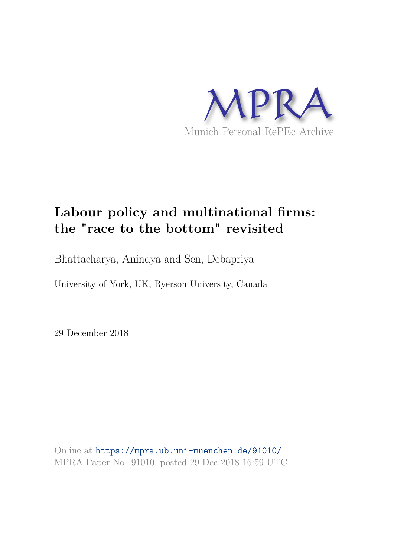

# **Labour policy and multinational firms: the "race to the bottom" revisited**

Bhattacharya, Anindya and Sen, Debapriya

University of York, UK, Ryerson University, Canada

29 December 2018

Online at https://mpra.ub.uni-muenchen.de/91010/ MPRA Paper No. 91010, posted 29 Dec 2018 16:59 UTC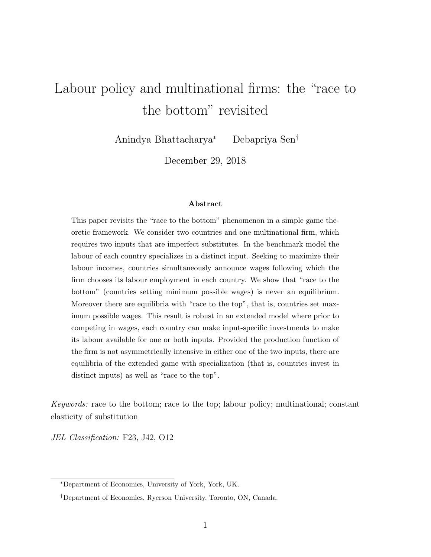# Labour policy and multinational firms: the "race to the bottom" revisited

Anindya Bhattacharya<sup>∗</sup> Debapriya Sen†

December 29, 2018

#### Abstract

This paper revisits the "race to the bottom" phenomenon in a simple game theoretic framework. We consider two countries and one multinational firm, which requires two inputs that are imperfect substitutes. In the benchmark model the labour of each country specializes in a distinct input. Seeking to maximize their labour incomes, countries simultaneously announce wages following which the firm chooses its labour employment in each country. We show that "race to the bottom" (countries setting minimum possible wages) is never an equilibrium. Moreover there are equilibria with "race to the top", that is, countries set maximum possible wages. This result is robust in an extended model where prior to competing in wages, each country can make input-specific investments to make its labour available for one or both inputs. Provided the production function of the firm is not asymmetrically intensive in either one of the two inputs, there are equilibria of the extended game with specialization (that is, countries invest in distinct inputs) as well as "race to the top".

Keywords: race to the bottom; race to the top; labour policy; multinational; constant elasticity of substitution

JEL Classification: F23, J42, O12

<sup>∗</sup>Department of Economics, University of York, York, UK.

<sup>†</sup>Department of Economics, Ryerson University, Toronto, ON, Canada.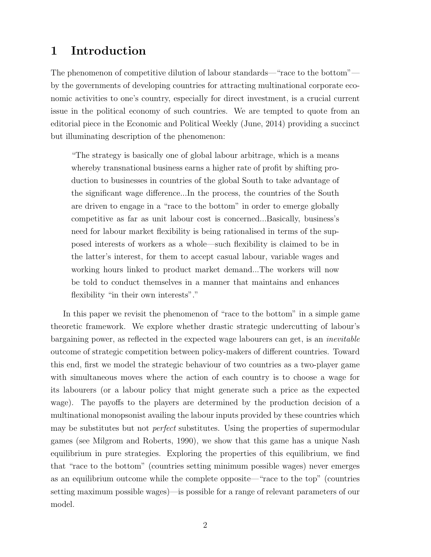# 1 Introduction

The phenomenon of competitive dilution of labour standards—"race to the bottom" by the governments of developing countries for attracting multinational corporate economic activities to one's country, especially for direct investment, is a crucial current issue in the political economy of such countries. We are tempted to quote from an editorial piece in the Economic and Political Weekly (June, 2014) providing a succinct but illuminating description of the phenomenon:

"The strategy is basically one of global labour arbitrage, which is a means whereby transnational business earns a higher rate of profit by shifting production to businesses in countries of the global South to take advantage of the significant wage difference...In the process, the countries of the South are driven to engage in a "race to the bottom" in order to emerge globally competitive as far as unit labour cost is concerned...Basically, business's need for labour market flexibility is being rationalised in terms of the supposed interests of workers as a whole—such flexibility is claimed to be in the latter's interest, for them to accept casual labour, variable wages and working hours linked to product market demand...The workers will now be told to conduct themselves in a manner that maintains and enhances flexibility "in their own interests"."

In this paper we revisit the phenomenon of "race to the bottom" in a simple game theoretic framework. We explore whether drastic strategic undercutting of labour's bargaining power, as reflected in the expected wage labourers can get, is an inevitable outcome of strategic competition between policy-makers of different countries. Toward this end, first we model the strategic behaviour of two countries as a two-player game with simultaneous moves where the action of each country is to choose a wage for its labourers (or a labour policy that might generate such a price as the expected wage). The payoffs to the players are determined by the production decision of a multinational monopsonist availing the labour inputs provided by these countries which may be substitutes but not *perfect* substitutes. Using the properties of supermodular games (see Milgrom and Roberts, 1990), we show that this game has a unique Nash equilibrium in pure strategies. Exploring the properties of this equilibrium, we find that "race to the bottom" (countries setting minimum possible wages) never emerges as an equilibrium outcome while the complete opposite—"race to the top" (countries setting maximum possible wages)—is possible for a range of relevant parameters of our model.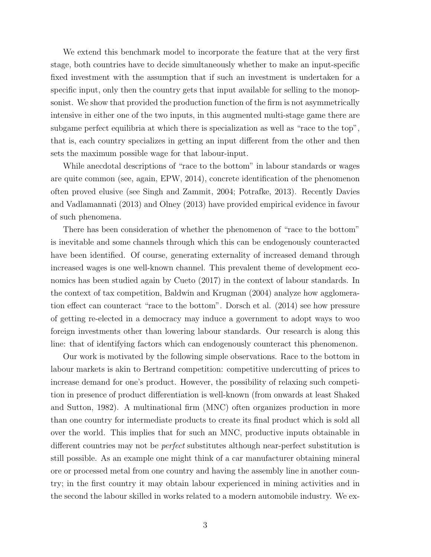We extend this benchmark model to incorporate the feature that at the very first stage, both countries have to decide simultaneously whether to make an input-specific fixed investment with the assumption that if such an investment is undertaken for a specific input, only then the country gets that input available for selling to the monopsonist. We show that provided the production function of the firm is not asymmetrically intensive in either one of the two inputs, in this augmented multi-stage game there are subgame perfect equilibria at which there is specialization as well as "race to the top", that is, each country specializes in getting an input different from the other and then sets the maximum possible wage for that labour-input.

While anecdotal descriptions of "race to the bottom" in labour standards or wages are quite common (see, again, EPW, 2014), concrete identification of the phenomenon often proved elusive (see Singh and Zammit, 2004; Potrafke, 2013). Recently Davies and Vadlamannati (2013) and Olney (2013) have provided empirical evidence in favour of such phenomena.

There has been consideration of whether the phenomenon of "race to the bottom" is inevitable and some channels through which this can be endogenously counteracted have been identified. Of course, generating externality of increased demand through increased wages is one well-known channel. This prevalent theme of development economics has been studied again by Cueto (2017) in the context of labour standards. In the context of tax competition, Baldwin and Krugman (2004) analyze how agglomeration effect can counteract "race to the bottom". Dorsch et al. (2014) see how pressure of getting re-elected in a democracy may induce a government to adopt ways to woo foreign investments other than lowering labour standards. Our research is along this line: that of identifying factors which can endogenously counteract this phenomenon.

Our work is motivated by the following simple observations. Race to the bottom in labour markets is akin to Bertrand competition: competitive undercutting of prices to increase demand for one's product. However, the possibility of relaxing such competition in presence of product differentiation is well-known (from onwards at least Shaked and Sutton, 1982). A multinational firm (MNC) often organizes production in more than one country for intermediate products to create its final product which is sold all over the world. This implies that for such an MNC, productive inputs obtainable in different countries may not be perfect substitutes although near-perfect substitution is still possible. As an example one might think of a car manufacturer obtaining mineral ore or processed metal from one country and having the assembly line in another country; in the first country it may obtain labour experienced in mining activities and in the second the labour skilled in works related to a modern automobile industry. We ex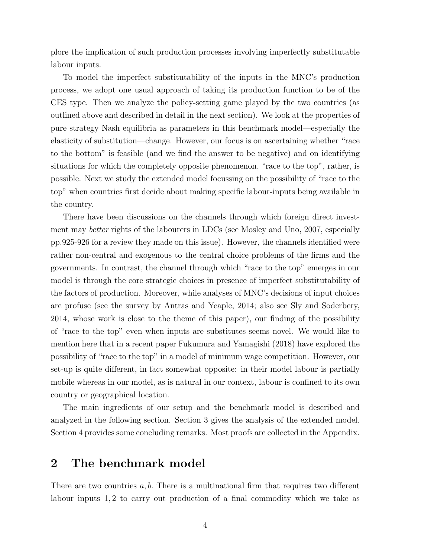plore the implication of such production processes involving imperfectly substitutable labour inputs.

To model the imperfect substitutability of the inputs in the MNC's production process, we adopt one usual approach of taking its production function to be of the CES type. Then we analyze the policy-setting game played by the two countries (as outlined above and described in detail in the next section). We look at the properties of pure strategy Nash equilibria as parameters in this benchmark model—especially the elasticity of substitution—change. However, our focus is on ascertaining whether "race to the bottom" is feasible (and we find the answer to be negative) and on identifying situations for which the completely opposite phenomenon, "race to the top", rather, is possible. Next we study the extended model focussing on the possibility of "race to the top" when countries first decide about making specific labour-inputs being available in the country.

There have been discussions on the channels through which foreign direct investment may better rights of the labourers in LDCs (see Mosley and Uno, 2007, especially pp.925-926 for a review they made on this issue). However, the channels identified were rather non-central and exogenous to the central choice problems of the firms and the governments. In contrast, the channel through which "race to the top" emerges in our model is through the core strategic choices in presence of imperfect substitutability of the factors of production. Moreover, while analyses of MNC's decisions of input choices are profuse (see the survey by Antras and Yeaple, 2014; also see Sly and Soderbery, 2014, whose work is close to the theme of this paper), our finding of the possibility of "race to the top" even when inputs are substitutes seems novel. We would like to mention here that in a recent paper Fukumura and Yamagishi (2018) have explored the possibility of "race to the top" in a model of minimum wage competition. However, our set-up is quite different, in fact somewhat opposite: in their model labour is partially mobile whereas in our model, as is natural in our context, labour is confined to its own country or geographical location.

The main ingredients of our setup and the benchmark model is described and analyzed in the following section. Section 3 gives the analysis of the extended model. Section 4 provides some concluding remarks. Most proofs are collected in the Appendix.

## 2 The benchmark model

There are two countries  $a, b$ . There is a multinational firm that requires two different labour inputs 1, 2 to carry out production of a final commodity which we take as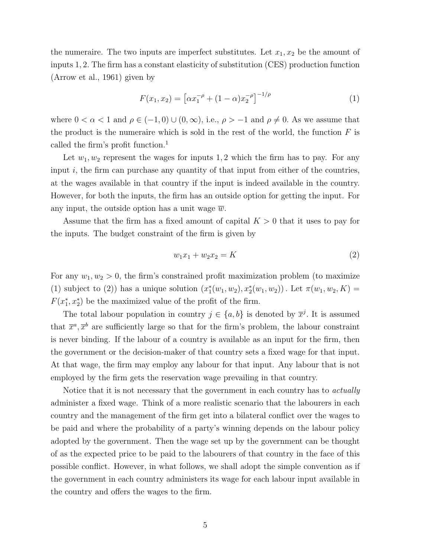the numeraire. The two inputs are imperfect substitutes. Let  $x_1, x_2$  be the amount of inputs 1, 2. The firm has a constant elasticity of substitution (CES) production function (Arrow et al., 1961) given by

$$
F(x_1, x_2) = \left[ \alpha x_1^{-\rho} + (1 - \alpha) x_2^{-\rho} \right]^{-1/\rho} \tag{1}
$$

where  $0 < \alpha < 1$  and  $\rho \in (-1, 0) \cup (0, \infty)$ , i.e.,  $\rho > -1$  and  $\rho \neq 0$ . As we assume that the product is the numeraire which is sold in the rest of the world, the function  $F$  is called the firm's profit function.<sup>1</sup>

Let  $w_1, w_2$  represent the wages for inputs 1, 2 which the firm has to pay. For any input  $i$ , the firm can purchase any quantity of that input from either of the countries, at the wages available in that country if the input is indeed available in the country. However, for both the inputs, the firm has an outside option for getting the input. For any input, the outside option has a unit wage  $\overline{w}$ .

Assume that the firm has a fixed amount of capital  $K > 0$  that it uses to pay for the inputs. The budget constraint of the firm is given by

$$
w_1 x_1 + w_2 x_2 = K \tag{2}
$$

For any  $w_1, w_2 > 0$ , the firm's constrained profit maximization problem (to maximize (1) subject to (2)) has a unique solution  $(x_1^*)$  $t_1^*(w_1, w_2), x_2^*(w_1, w_2))$ . Let  $\pi(w_1, w_2, K) =$  $F(x_1^*)$  $(x_1^*, x_2^*)$  be the maximized value of the profit of the firm.

The total labour population in country  $j \in \{a, b\}$  is denoted by  $\overline{x}^j$ . It is assumed that  $\bar{x}^a, \bar{x}^b$  are sufficiently large so that for the firm's problem, the labour constraint is never binding. If the labour of a country is available as an input for the firm, then the government or the decision-maker of that country sets a fixed wage for that input. At that wage, the firm may employ any labour for that input. Any labour that is not employed by the firm gets the reservation wage prevailing in that country.

Notice that it is not necessary that the government in each country has to *actually* administer a fixed wage. Think of a more realistic scenario that the labourers in each country and the management of the firm get into a bilateral conflict over the wages to be paid and where the probability of a party's winning depends on the labour policy adopted by the government. Then the wage set up by the government can be thought of as the expected price to be paid to the labourers of that country in the face of this possible conflict. However, in what follows, we shall adopt the simple convention as if the government in each country administers its wage for each labour input available in the country and offers the wages to the firm.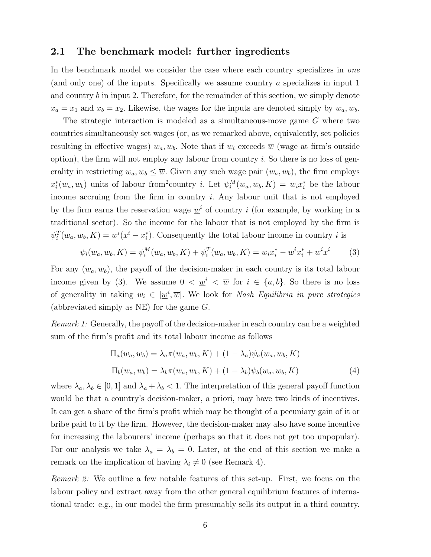#### 2.1 The benchmark model: further ingredients

In the benchmark model we consider the case where each country specializes in one (and only one) of the inputs. Specifically we assume country a specializes in input 1 and country  $b$  in input 2. Therefore, for the remainder of this section, we simply denote  $x_a = x_1$  and  $x_b = x_2$ . Likewise, the wages for the inputs are denoted simply by  $w_a, w_b$ .

The strategic interaction is modeled as a simultaneous-move game G where two countries simultaneously set wages (or, as we remarked above, equivalently, set policies resulting in effective wages)  $w_a, w_b$ . Note that if  $w_i$  exceeds  $\overline{w}$  (wage at firm's outside option), the firm will not employ any labour from country  $i$ . So there is no loss of generality in restricting  $w_a, w_b \leq \overline{w}$ . Given any such wage pair  $(w_a, w_b)$ , the firm employs  $x_i^*$ \* $(w_a, w_b)$  units of labour from<sup>2</sup>country *i*. Let  $\psi_i^M(w_a, w_b, K) = w_i x_i^*$  be the labour income accruing from the firm in country  $i$ . Any labour unit that is not employed by the firm earns the reservation wage  $\underline{w}^i$  of country i (for example, by working in a traditional sector). So the income for the labour that is not employed by the firm is  $\psi_i^T(w_a, w_b, K) = \underline{w}^i(\overline{x}^i - x_i^*)$  $i$ ). Consequently the total labour income in country i is

$$
\psi_i(w_a, w_b, K) = \psi_i^M(w_a, w_b, K) + \psi_i^T(w_a, w_b, K) = w_i x_i^* - \underline{w}^i x_i^* + \underline{w}^i \overline{x}^i
$$
(3)

For any  $(w_a, w_b)$ , the payoff of the decision-maker in each country is its total labour income given by (3). We assume  $0 < \underline{w}^i < \overline{w}$  for  $i \in \{a, b\}$ . So there is no loss of generality in taking  $w_i \in [\underline{w}^i, \overline{w}]$ . We look for *Nash Equilibria in pure strategies* (abbreviated simply as NE) for the game  $G$ .

Remark 1: Generally, the payoff of the decision-maker in each country can be a weighted sum of the firm's profit and its total labour income as follows

$$
\Pi_a(w_a, w_b) = \lambda_a \pi(w_a, w_b, K) + (1 - \lambda_a) \psi_a(w_a, w_b, K)
$$
  
\n
$$
\Pi_b(w_a, w_b) = \lambda_b \pi(w_a, w_b, K) + (1 - \lambda_b) \psi_b(w_a, w_b, K)
$$
\n(4)

where  $\lambda_a, \lambda_b \in [0,1]$  and  $\lambda_a + \lambda_b < 1$ . The interpretation of this general payoff function would be that a country's decision-maker, a priori, may have two kinds of incentives. It can get a share of the firm's profit which may be thought of a pecuniary gain of it or bribe paid to it by the firm. However, the decision-maker may also have some incentive for increasing the labourers' income (perhaps so that it does not get too unpopular). For our analysis we take  $\lambda_a = \lambda_b = 0$ . Later, at the end of this section we make a remark on the implication of having  $\lambda_i \neq 0$  (see Remark 4).

Remark 2: We outline a few notable features of this set-up. First, we focus on the labour policy and extract away from the other general equilibrium features of international trade: e.g., in our model the firm presumably sells its output in a third country.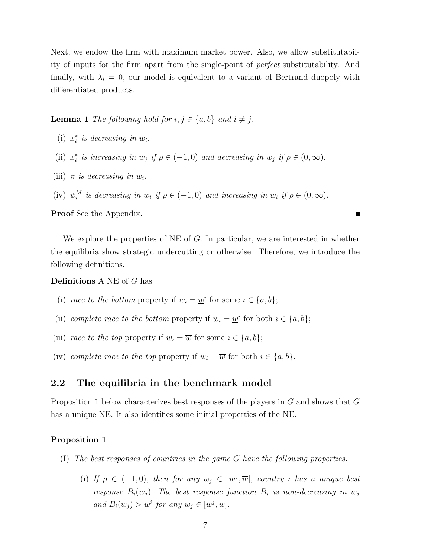Next, we endow the firm with maximum market power. Also, we allow substitutability of inputs for the firm apart from the single-point of perfect substitutability. And finally, with  $\lambda_i = 0$ , our model is equivalent to a variant of Bertrand duopoly with differentiated products.

**Lemma 1** The following hold for  $i, j \in \{a, b\}$  and  $i \neq j$ .

- $(i)$   $x_i^*$  $i$  is decreasing in  $w_i$ .
- $(iii)$   $x_i^*$  $i$  is increasing in  $w_j$  if  $\rho \in (-1,0)$  and decreasing in  $w_j$  if  $\rho \in (0,\infty)$ .
- (iii)  $\pi$  is decreasing in  $w_i$ .
- (iv)  $\psi_i^M$  is decreasing in  $w_i$  if  $\rho \in (-1,0)$  and increasing in  $w_i$  if  $\rho \in (0,\infty)$ .

Proof See the Appendix.

We explore the properties of NE of  $G$ . In particular, we are interested in whether the equilibria show strategic undercutting or otherwise. Therefore, we introduce the following definitions.

Definitions A NE of G has

- (i) race to the bottom property if  $w_i = \underline{w}^i$  for some  $i \in \{a, b\}$ ;
- (ii) complete race to the bottom property if  $w_i = \underline{w}^i$  for both  $i \in \{a, b\}$ ;
- (iii) race to the top property if  $w_i = \overline{w}$  for some  $i \in \{a, b\};$
- (iv) complete race to the top property if  $w_i = \overline{w}$  for both  $i \in \{a, b\}$ .

#### 2.2 The equilibria in the benchmark model

Proposition 1 below characterizes best responses of the players in G and shows that G has a unique NE. It also identifies some initial properties of the NE.

#### Proposition 1

- (I) The best responses of countries in the game G have the following properties.
	- (i) If  $\rho \in (-1,0)$ , then for any  $w_j \in [\underline{w}^j, \overline{w}]$ , country i has a unique best response  $B_i(w_j)$ . The best response function  $B_i$  is non-decreasing in  $w_j$ and  $B_i(w_j) > \underline{w}^i$  for any  $w_j \in [\underline{w}^j, \overline{w}].$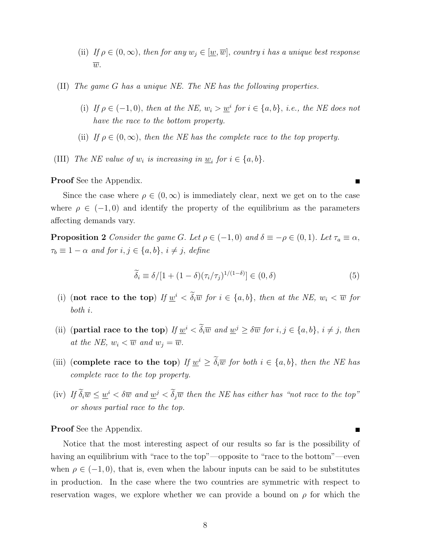- (ii) If  $\rho \in (0,\infty)$ , then for any  $w_j \in [\underline{w},\overline{w}]$ , country *i* has a unique best response  $\overline{w}$ .
- (II) The game G has a unique NE. The NE has the following properties.
	- (i) If  $\rho \in (-1,0)$ , then at the NE,  $w_i > w_i$  for  $i \in \{a,b\}$ , i.e., the NE does not have the race to the bottom property.
	- (ii) If  $\rho \in (0,\infty)$ , then the NE has the complete race to the top property.
- (III) The NE value of  $w_i$  is increasing in  $\underline{w}_i$  for  $i \in \{a, b\}$ .

Proof See the Appendix.

Since the case where  $\rho \in (0,\infty)$  is immediately clear, next we get on to the case where  $\rho \in (-1,0)$  and identify the property of the equilibrium as the parameters affecting demands vary.

**Proposition 2** Consider the game G. Let  $\rho \in (-1,0)$  and  $\delta \equiv -\rho \in (0,1)$ . Let  $\tau_a \equiv \alpha$ ,  $\tau_b \equiv 1 - \alpha$  and for  $i, j \in \{a, b\}, i \neq j$ , define

$$
\widetilde{\delta}_i \equiv \delta/[1 + (1 - \delta)(\tau_i/\tau_j)^{1/(1 - \delta)}] \in (0, \delta)
$$
\n(5)

- (i) (not race to the top) If  $\underline{w}^i < \delta_i \overline{w}$  for  $i \in \{a, b\}$ , then at the NE,  $w_i < \overline{w}$  for both i.
- (ii) (partial race to the top) If  $\underline{w}^i < \delta_i \overline{w}$  and  $\underline{w}^j \geq \delta \overline{w}$  for  $i, j \in \{a, b\}, i \neq j$ , then at the NE,  $w_i < \overline{w}$  and  $w_j = \overline{w}$ .
- (iii) (complete race to the top) If  $\underline{w}^i \geq \delta_i \overline{w}$  for both  $i \in \{a, b\}$ , then the NE has complete race to the top property.
- (iv) If  $\delta_i \overline{w} \leq \underline{w}^i < \delta \overline{w}$  and  $\underline{w}^j < \delta_j \overline{w}$  then the NE has either has "not race to the top" or shows partial race to the top.

Proof See the Appendix.

Notice that the most interesting aspect of our results so far is the possibility of having an equilibrium with "race to the top"—opposite to "race to the bottom"—even when  $\rho \in (-1,0)$ , that is, even when the labour inputs can be said to be substitutes in production. In the case where the two countries are symmetric with respect to reservation wages, we explore whether we can provide a bound on  $\rho$  for which the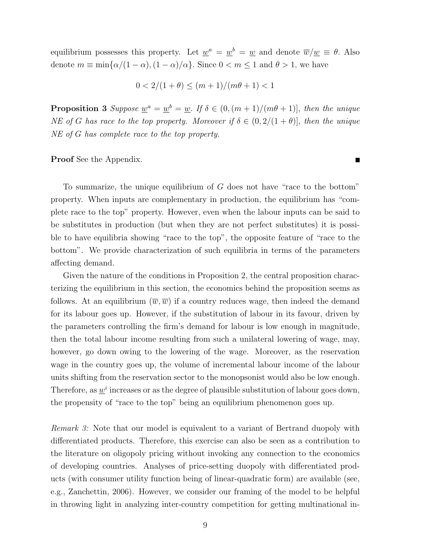equilibrium possesses this property. Let  $\underline{w}^a = \underline{w}^b = \underline{w}$  and denote  $\overline{w}/\underline{w} \equiv \theta$ . Also denote  $m \equiv \min{\lbrace \alpha/(1-\alpha), (1-\alpha)/\alpha \rbrace}$ . Since  $0 < m \le 1$  and  $\theta > 1$ , we have

$$
0 < 2/(1+\theta) \le (m+1)/(m\theta+1) < 1
$$

**Proposition 3** Suppose  $\underline{w}^a = \underline{w}^b = \underline{w}$ . If  $\delta \in (0, (m+1)/(m\theta+1)]$ , then the unique NE of G has race to the top property. Moreover if  $\delta \in (0, 2/(1+\theta)],$  then the unique NE of G has complete race to the top property.

#### Proof See the Appendix.

To summarize, the unique equilibrium of  $G$  does not have "race to the bottom" property. When inputs are complementary in production, the equilibrium has "complete race to the top" property. However, even when the labour inputs can be said to be substitutes in production (but when they are not perfect substitutes) it is possible to have equilibria showing "race to the top", the opposite feature of "race to the bottom". We provide characterization of such equilibria in terms of the parameters affecting demand.

Given the nature of the conditions in Proposition 2, the central proposition characterizing the equilibrium in this section, the economics behind the proposition seems as follows. At an equilibrium  $(\overline{w}, \overline{w})$  if a country reduces wage, then indeed the demand for its labour goes up. However, if the substitution of labour in its favour, driven by the parameters controlling the firm's demand for labour is low enough in magnitude, then the total labour income resulting from such a unilateral lowering of wage, may, however, go down owing to the lowering of the wage. Moreover, as the reservation wage in the country goes up, the volume of incremental labour income of the labour units shifting from the reservation sector to the monopsonist would also be low enough. Therefore, as  $\underline{w}^{i}$  increases or as the degree of plausible substitution of labour goes down, the propensity of "race to the top" being an equilibrium phenomenon goes up.

Remark 3: Note that our model is equivalent to a variant of Bertrand duopoly with differentiated products. Therefore, this exercise can also be seen as a contribution to the literature on oligopoly pricing without invoking any connection to the economics of developing countries. Analyses of price-setting duopoly with differentiated products (with consumer utility function being of linear-quadratic form) are available (see, e.g., Zanchettin, 2006). However, we consider our framing of the model to be helpful in throwing light in analyzing inter-country competition for getting multinational in-

 $\blacksquare$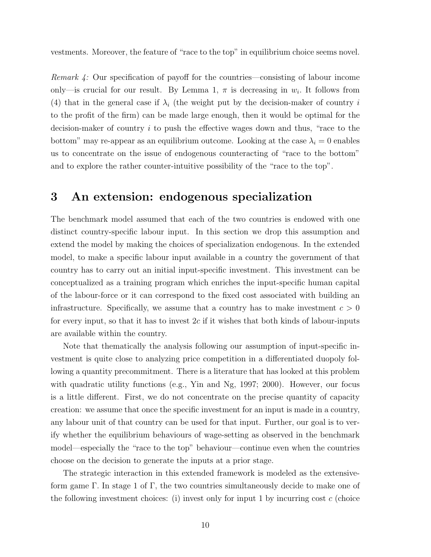vestments. Moreover, the feature of "race to the top" in equilibrium choice seems novel.

Remark 4: Our specification of payoff for the countries—consisting of labour income only—is crucial for our result. By Lemma 1,  $\pi$  is decreasing in  $w_i$ . It follows from (4) that in the general case if  $\lambda_i$  (the weight put by the decision-maker of country i to the profit of the firm) can be made large enough, then it would be optimal for the decision-maker of country i to push the effective wages down and thus, "race to the bottom" may re-appear as an equilibrium outcome. Looking at the case  $\lambda_i = 0$  enables us to concentrate on the issue of endogenous counteracting of "race to the bottom" and to explore the rather counter-intuitive possibility of the "race to the top".

## 3 An extension: endogenous specialization

The benchmark model assumed that each of the two countries is endowed with one distinct country-specific labour input. In this section we drop this assumption and extend the model by making the choices of specialization endogenous. In the extended model, to make a specific labour input available in a country the government of that country has to carry out an initial input-specific investment. This investment can be conceptualized as a training program which enriches the input-specific human capital of the labour-force or it can correspond to the fixed cost associated with building an infrastructure. Specifically, we assume that a country has to make investment  $c > 0$ for every input, so that it has to invest  $2c$  if it wishes that both kinds of labour-inputs are available within the country.

Note that thematically the analysis following our assumption of input-specific investment is quite close to analyzing price competition in a differentiated duopoly following a quantity precommitment. There is a literature that has looked at this problem with quadratic utility functions (e.g., Yin and Ng, 1997; 2000). However, our focus is a little different. First, we do not concentrate on the precise quantity of capacity creation: we assume that once the specific investment for an input is made in a country, any labour unit of that country can be used for that input. Further, our goal is to verify whether the equilibrium behaviours of wage-setting as observed in the benchmark model—especially the "race to the top" behaviour—continue even when the countries choose on the decision to generate the inputs at a prior stage.

The strategic interaction in this extended framework is modeled as the extensiveform game Γ. In stage 1 of Γ, the two countries simultaneously decide to make one of the following investment choices: (i) invest only for input 1 by incurring cost  $c$  (choice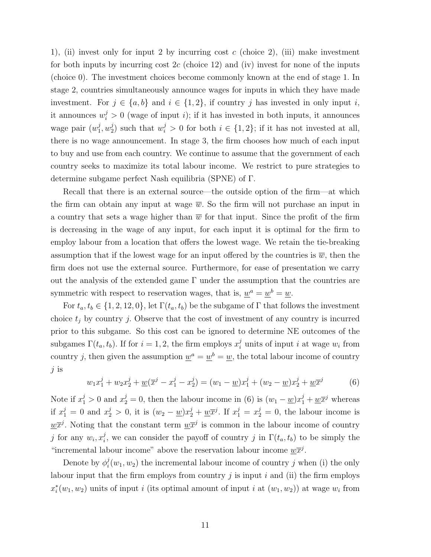1), (ii) invest only for input 2 by incurring cost c (choice 2), (iii) make investment for both inputs by incurring cost  $2c$  (choice 12) and (iv) invest for none of the inputs (choice 0). The investment choices become commonly known at the end of stage 1. In stage 2, countries simultaneously announce wages for inputs in which they have made investment. For  $j \in \{a, b\}$  and  $i \in \{1, 2\}$ , if country j has invested in only input i, it announces  $w_i^j > 0$  (wage of input *i*); if it has invested in both inputs, it announces wage pair  $(w_1^j)$  $^{j}_{1}, w^{j}_{2}$  $2^j$  such that  $w_i^j > 0$  for both  $i \in \{1, 2\}$ ; if it has not invested at all, there is no wage announcement. In stage 3, the firm chooses how much of each input to buy and use from each country. We continue to assume that the government of each country seeks to maximize its total labour income. We restrict to pure strategies to determine subgame perfect Nash equilibria (SPNE) of Γ.

Recall that there is an external source—the outside option of the firm—at which the firm can obtain any input at wage  $\overline{w}$ . So the firm will not purchase an input in a country that sets a wage higher than  $\overline{w}$  for that input. Since the profit of the firm is decreasing in the wage of any input, for each input it is optimal for the firm to employ labour from a location that offers the lowest wage. We retain the tie-breaking assumption that if the lowest wage for an input offered by the countries is  $\overline{w}$ , then the firm does not use the external source. Furthermore, for ease of presentation we carry out the analysis of the extended game  $\Gamma$  under the assumption that the countries are symmetric with respect to reservation wages, that is,  $\underline{w}^a = \underline{w}^b = \underline{w}$ .

For  $t_a, t_b \in \{1, 2, 12, 0\}$ , let  $\Gamma(t_a, t_b)$  be the subgame of  $\Gamma$  that follows the investment choice  $t_i$  by country j. Observe that the cost of investment of any country is incurred prior to this subgame. So this cost can be ignored to determine NE outcomes of the subgames  $\Gamma(t_a, t_b)$ . If for  $i = 1, 2$ , the firm employs  $x_i^j$  units of input i at wage  $w_i$  from country j, then given the assumption  $\underline{w}^a = \underline{w}^b = \underline{w}$ , the total labour income of country j is

$$
w_1 x_1^j + w_2 x_2^j + \underline{w}(\overline{x}^j - x_1^j - x_2^j) = (w_1 - \underline{w})x_1^j + (w_2 - \underline{w})x_2^j + \underline{w}\overline{x}^j \tag{6}
$$

Note if  $x_1^j > 0$  and  $x_2^j = 0$ , then the labour income in (6) is  $(w_1 - \underline{w})x_1^j + \underline{w}\overline{x}^j$  whereas if  $x_1^j = 0$  and  $x_2^j > 0$ , it is  $(w_2 - \underline{w})x_2^j + \underline{w}\overline{x}^j$ . If  $x_1^j = x_2^j = 0$ , the labour income is  $\underline{w}\overline{x}^j$ . Noting that the constant term  $\underline{w}\overline{x}^j$  is common in the labour income of country j for any  $w_i, x_i^j$ <sup>*i*</sup>, we can consider the payoff of country *j* in  $\Gamma(t_a, t_b)$  to be simply the "incremental labour income" above the reservation labour income  $\underline{w}\overline{x}^j$ .

Denote by  $\phi_i^j$  $i(w_1, w_2)$  the incremental labour income of country j when (i) the only labour input that the firm employs from country  $j$  is input  $i$  and (ii) the firm employs  $x_i^*$  $i(w_1, w_2)$  units of input i (its optimal amount of input i at  $(w_1, w_2)$ ) at wage  $w_i$  from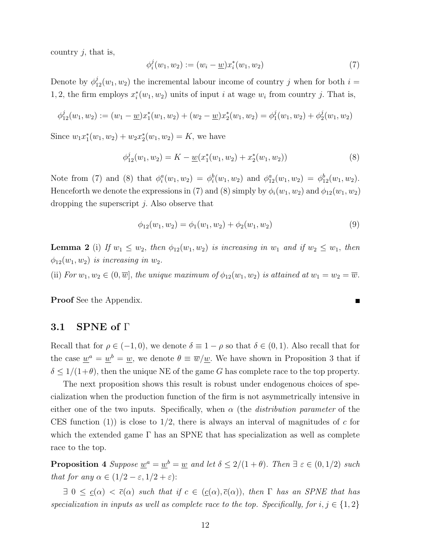country  $j$ , that is,

$$
\phi_i^j(w_1, w_2) := (w_i - \underline{w}) x_i^*(w_1, w_2)
$$
\n(7)

Denote by  $\phi_{12}^j(w_1, w_2)$  the incremental labour income of country j when for both  $i =$ 1, 2, the firm employs  $x_i^*$  $i(w_1, w_2)$  units of input i at wage  $w_i$  from country j. That is,

$$
\phi_{12}^j(w_1, w_2) := (w_1 - \underline{w})x_1^*(w_1, w_2) + (w_2 - \underline{w})x_2^*(w_1, w_2) = \phi_1^j(w_1, w_2) + \phi_2^j(w_1, w_2)
$$

Since  $w_1x_1^*$  $x_1^*(w_1, w_2) + w_2 x_2^*$  $j_2^*(w_1, w_2) = K$ , we have

$$
\phi_{12}^j(w_1, w_2) = K - \underline{w}(x_1^*(w_1, w_2) + x_2^*(w_1, w_2))
$$
\n(8)

Note from (7) and (8) that  $\phi_i^a(w_1, w_2) = \phi_i^b(w_1, w_2)$  and  $\phi_{12}^a(w_1, w_2) = \phi_{12}^b(w_1, w_2)$ . Henceforth we denote the expressions in (7) and (8) simply by  $\phi_i(w_1, w_2)$  and  $\phi_{12}(w_1, w_2)$ dropping the superscript j. Also observe that

$$
\phi_{12}(w_1, w_2) = \phi_1(w_1, w_2) + \phi_2(w_1, w_2)
$$
\n(9)

**Lemma 2** (i) If  $w_1 \leq w_2$ , then  $\phi_{12}(w_1, w_2)$  is increasing in  $w_1$  and if  $w_2 \leq w_1$ , then  $\phi_{12}(w_1, w_2)$  is increasing in  $w_2$ .

(ii) For  $w_1, w_2 \in (0, \overline{w}]$ , the unique maximum of  $\phi_{12}(w_1, w_2)$  is attained at  $w_1 = w_2 = \overline{w}$ .

Proof See the Appendix.

#### 3.1 SPNE of  $\Gamma$

Recall that for  $\rho \in (-1,0)$ , we denote  $\delta \equiv 1 - \rho$  so that  $\delta \in (0,1)$ . Also recall that for the case  $\underline{w}^a = \underline{w}^b = \underline{w}$ , we denote  $\theta \equiv \overline{w}/\underline{w}$ . We have shown in Proposition 3 that if  $\delta \leq 1/(1+\theta)$ , then the unique NE of the game G has complete race to the top property.

The next proposition shows this result is robust under endogenous choices of specialization when the production function of the firm is not asymmetrically intensive in either one of the two inputs. Specifically, when  $\alpha$  (the *distribution parameter* of the CES function (1)) is close to  $1/2$ , there is always an interval of magnitudes of c for which the extended game  $\Gamma$  has an SPNE that has specialization as well as complete race to the top.

**Proposition 4** Suppose  $\underline{w}^a = \underline{w}^b = \underline{w}$  and let  $\delta \leq 2/(1+\theta)$ . Then  $\exists \varepsilon \in (0,1/2)$  such that for any  $\alpha \in (1/2 - \varepsilon, 1/2 + \varepsilon)$ :

 $\exists 0 \leq \underline{c}(\alpha) < \overline{c}(\alpha)$  such that if  $c \in (\underline{c}(\alpha), \overline{c}(\alpha))$ , then  $\Gamma$  has an SPNE that has specialization in inputs as well as complete race to the top. Specifically, for  $i, j \in \{1, 2\}$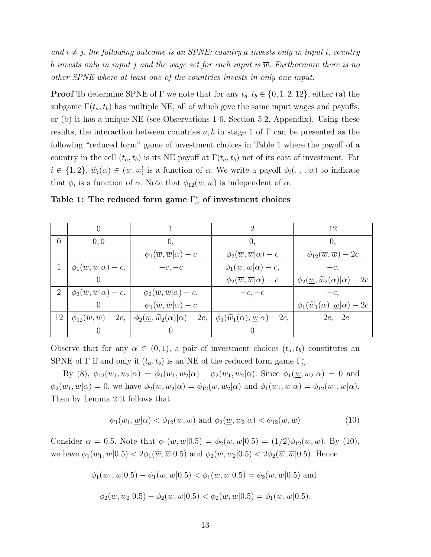and  $i \neq j$ , the following outcome is an SPNE: country a invests only in input i, country b invests only in input j and the wage set for each input is  $\overline{w}$ . Furthermore there is no other SPNE where at least one of the countries invests in only one input.

**Proof** To determine SPNE of Γ we note that for any  $t_a, t_b \in \{0, 1, 2, 12\}$ , either (a) the subgame  $\Gamma(t_a, t_b)$  has multiple NE, all of which give the same input wages and payoffs, or (b) it has a unique NE (see Observations 1-6, Section 5.2, Appendix). Using these results, the interaction between countries a, b in stage 1 of  $\Gamma$  can be presented as the following "reduced form" game of investment choices in Table 1 where the payoff of a country in the cell  $(t_a, t_b)$  is its NE payoff at  $\Gamma(t_a, t_b)$  net of its cost of investment. For  $i \in \{1,2\}, \, \widetilde{w}_i(\alpha) \in (\underline{w},\overline{w}]$  is a function of  $\alpha$ . We write a payoff  $\phi_i(\cdot, \cdot | \alpha)$  to indicate that  $\phi_i$  is a function of  $\alpha$ . Note that  $\phi_{12}(w, w)$  is independent of  $\alpha$ .

|                |                                                  |                                                               |                                                               | 12                                                           |
|----------------|--------------------------------------------------|---------------------------------------------------------------|---------------------------------------------------------------|--------------------------------------------------------------|
| 0              | 0,0                                              | $\theta$ .                                                    | $\theta$                                                      | 0,                                                           |
|                |                                                  | $\phi_1(\overline{w}, \overline{w} \alpha) - c$               | $\phi_2(\overline{w}, \overline{w} \alpha) - c$               | $\phi_{12}(\overline{w}, \overline{w}) - 2c$                 |
|                | $\phi_1(\overline{w}, \overline{w} \alpha) - c,$ | $-c, -c$                                                      | $\phi_1(\overline{w}, \overline{w} \alpha) - c,$              | $-c.$                                                        |
|                |                                                  |                                                               | $\phi_2(\overline{w}, \overline{w} \alpha) - c$               | $\phi_2(\underline{w}, \widetilde{w}_2(\alpha) \alpha) - 2c$ |
| $\overline{2}$ | $\phi_2(\overline{w}, \overline{w} \alpha) - c,$ | $\phi_2(\overline{w}, \overline{w} \alpha) - c,$              | $-c, -c$                                                      | $-c.$                                                        |
|                |                                                  | $\phi_1(\overline{w}, \overline{w} \alpha) - c$               |                                                               | $\phi_1(\widetilde{w}_1(\alpha), \underline{w} \alpha) - 2c$ |
| 12             | $\phi_{12}(\overline{w}, \overline{w}) - 2c,$    | $\phi_2(\underline{w}, \widetilde{w}_2(\alpha) \alpha) - 2c,$ | $\phi_1(\widetilde{w}_1(\alpha), \underline{w} \alpha) - 2c,$ | $-2c, -2c$                                                   |
|                |                                                  |                                                               |                                                               |                                                              |

Table 1: The reduced form game  $\Gamma^*_{\alpha}$  of investment choices

Observe that for any  $\alpha \in (0,1)$ , a pair of investment choices  $(t_a, t_b)$  constitutes an SPNE of  $\Gamma$  if and only if  $(t_a, t_b)$  is an NE of the reduced form game  $\Gamma^*_{\alpha}$ .

By (8),  $\phi_{12}(w_1, w_2 | \alpha) = \phi_1(w_1, w_2 | \alpha) + \phi_2(w_1, w_2 | \alpha)$ . Since  $\phi_1(\underline{w}, w_2 | \alpha) = 0$  and  $\phi_2(w_1,\underline{w}|\alpha) = 0$ , we have  $\phi_2(\underline{w},w_2|\alpha) = \phi_{12}(\underline{w},w_2|\alpha)$  and  $\phi_1(w_1,\underline{w}|\alpha) = \phi_{12}(w_1,\underline{w}|\alpha)$ . Then by Lemma 2 it follows that

$$
\phi_1(w_1, \underline{w}|\alpha) < \phi_{12}(\overline{w}, \overline{w}) \text{ and } \phi_2(\underline{w}, w_2|\alpha) < \phi_{12}(\overline{w}, \overline{w}) \tag{10}
$$

Consider  $\alpha = 0.5$ . Note that  $\phi_1(\overline{w}, \overline{w}|0.5) = \phi_2(\overline{w}, \overline{w}|0.5) = (1/2)\phi_{12}(\overline{w}, \overline{w})$ . By (10), we have  $\phi_1(w_1,\underline{w}|0.5)<2\phi_1(\overline{w},\overline{w}|0.5)$  and  $\phi_2(\underline{w},w_2|0.5)<2\phi_2(\overline{w},\overline{w}|0.5)$ . Hence

$$
\phi_1(w_1, \underline{w}|0.5) - \phi_1(\overline{w}, \overline{w}|0.5) < \phi_1(\overline{w}, \overline{w}|0.5) = \phi_2(\overline{w}, \overline{w}|0.5)
$$
 and  
 $\phi_2(\underline{w}, w_2|0.5) - \phi_2(\overline{w}, \overline{w}|0.5) < \phi_2(\overline{w}, \overline{w}|0.5) = \phi_1(\overline{w}, \overline{w}|0.5).$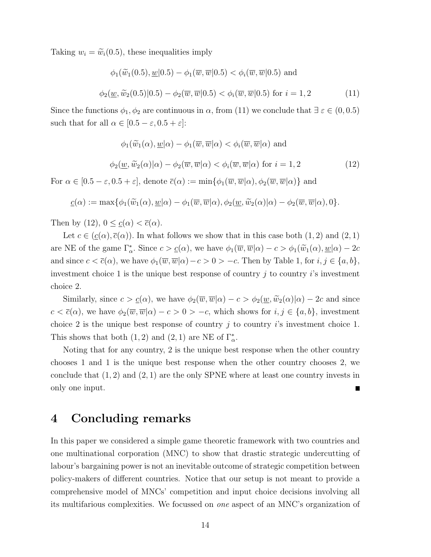Taking  $w_i = \tilde{w}_i(0.5)$ , these inequalities imply

$$
\phi_1(\widetilde{w}_1(0.5), \underline{w}|0.5) - \phi_1(\overline{w}, \overline{w}|0.5) < \phi_i(\overline{w}, \overline{w}|0.5) \text{ and}
$$
  

$$
\phi_2(\underline{w}, \widetilde{w}_2(0.5)|0.5) - \phi_2(\overline{w}, \overline{w}|0.5) < \phi_i(\overline{w}, \overline{w}|0.5) \text{ for } i = 1, 2
$$
 (11)

Since the functions  $\phi_1, \phi_2$  are continuous in  $\alpha$ , from (11) we conclude that  $\exists \varepsilon \in (0, 0.5)$ such that for all  $\alpha \in [0.5 - \varepsilon, 0.5 + \varepsilon]$ :

$$
\phi_1(\widetilde{w}_1(\alpha), \underline{w}|\alpha) - \phi_1(\overline{w}, \overline{w}|\alpha) < \phi_i(\overline{w}, \overline{w}|\alpha)
$$
 and  

$$
\phi_2(\underline{w}, \widetilde{w}_2(\alpha)|\alpha) - \phi_2(\overline{w}, \overline{w}|\alpha) < \phi_i(\overline{w}, \overline{w}|\alpha)
$$
 for  $i = 1, 2$  (12)

For  $\alpha \in [0.5 - \varepsilon, 0.5 + \varepsilon]$ , denote  $\overline{c}(\alpha) := \min\{\phi_1(\overline{w}, \overline{w}|\alpha), \phi_2(\overline{w}, \overline{w}|\alpha)\}\$ and

$$
\underline{c}(\alpha) := \max \{ \phi_1(\widetilde{w}_1(\alpha), \underline{w}|\alpha) - \phi_1(\overline{w}, \overline{w}|\alpha), \phi_2(\underline{w}, \widetilde{w}_2(\alpha)|\alpha) - \phi_2(\overline{w}, \overline{w}|\alpha), 0 \}.
$$

Then by (12),  $0 \leq \underline{c}(\alpha) < \overline{c}(\alpha)$ .

Let  $c \in (c(\alpha), \overline{c}(\alpha))$ . In what follows we show that in this case both  $(1, 2)$  and  $(2, 1)$ are NE of the game  $\Gamma^*_{\alpha}$ . Since  $c > c(\alpha)$ , we have  $\phi_1(\overline{w}, \overline{w}|\alpha) - c > \phi_1(\widetilde{w}_1(\alpha), \underline{w}|\alpha) - 2c$ and since  $c < \overline{c}(\alpha)$ , we have  $\phi_1(\overline{w}, \overline{w}|\alpha) - c > 0 > -c$ . Then by Table 1, for  $i, j \in \{a, b\}$ , investment choice 1 is the unique best response of country  $j$  to country  $i$ 's investment choice 2.

Similarly, since  $c > c(\alpha)$ , we have  $\phi_2(\overline{w}, \overline{w}|\alpha) - c > \phi_2(\underline{w}, \widetilde{w}_2(\alpha)|\alpha) - 2c$  and since  $c < \bar{c}(\alpha)$ , we have  $\phi_2(\overline{w}, \overline{w}|\alpha) - c > 0 > -c$ , which shows for  $i, j \in \{a, b\}$ , investment choice 2 is the unique best response of country j to country i's investment choice 1. This shows that both  $(1, 2)$  and  $(2, 1)$  are NE of  $\Gamma^*_{\alpha}$ .

Noting that for any country, 2 is the unique best response when the other country chooses 1 and 1 is the unique best response when the other country chooses 2, we conclude that  $(1, 2)$  and  $(2, 1)$  are the only SPNE where at least one country invests in only one input.

# 4 Concluding remarks

In this paper we considered a simple game theoretic framework with two countries and one multinational corporation (MNC) to show that drastic strategic undercutting of labour's bargaining power is not an inevitable outcome of strategic competition between policy-makers of different countries. Notice that our setup is not meant to provide a comprehensive model of MNCs' competition and input choice decisions involving all its multifarious complexities. We focussed on one aspect of an MNC's organization of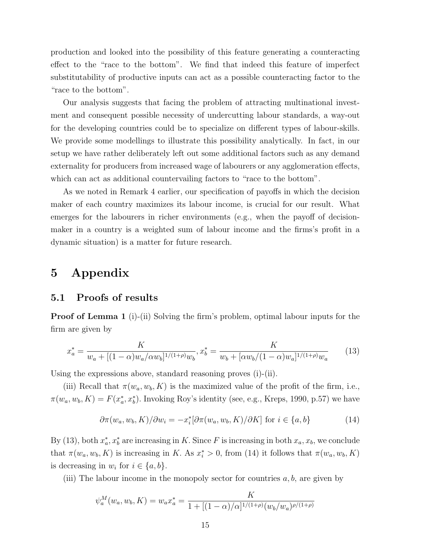production and looked into the possibility of this feature generating a counteracting effect to the "race to the bottom". We find that indeed this feature of imperfect substitutability of productive inputs can act as a possible counteracting factor to the "race to the bottom".

Our analysis suggests that facing the problem of attracting multinational investment and consequent possible necessity of undercutting labour standards, a way-out for the developing countries could be to specialize on different types of labour-skills. We provide some modellings to illustrate this possibility analytically. In fact, in our setup we have rather deliberately left out some additional factors such as any demand externality for producers from increased wage of labourers or any agglomeration effects, which can act as additional countervailing factors to "race to the bottom".

As we noted in Remark 4 earlier, our specification of payoffs in which the decision maker of each country maximizes its labour income, is crucial for our result. What emerges for the labourers in richer environments (e.g., when the payoff of decisionmaker in a country is a weighted sum of labour income and the firms's profit in a dynamic situation) is a matter for future research.

# 5 Appendix

#### 5.1 Proofs of results

**Proof of Lemma 1** (i)-(ii) Solving the firm's problem, optimal labour inputs for the firm are given by

$$
x_a^* = \frac{K}{w_a + [(1-\alpha)w_a/\alpha w_b]^{1/(1+\rho)}w_b}, x_b^* = \frac{K}{w_b + [\alpha w_b/(1-\alpha)w_a]^{1/(1+\rho)}w_a}
$$
(13)

Using the expressions above, standard reasoning proves (i)-(ii).

(iii) Recall that  $\pi(w_a, w_b, K)$  is the maximized value of the profit of the firm, i.e.,  $\pi(w_a, w_b, K) = F(x_a^*)$  $_{a}^{*}$ ,  $x_{b}^{*}$ ). Invoking Roy's identity (see, e.g., Kreps, 1990, p.57) we have

$$
\partial \pi(w_a, w_b, K) / \partial w_i = -x_i^* [\partial \pi(w_a, w_b, K) / \partial K] \text{ for } i \in \{a, b\}
$$
 (14)

By (13), both  $x_a^*$  $a_a^*$ ,  $x_b^*$  are increasing in K. Since F is increasing in both  $x_a, x_b$ , we conclude that  $\pi(w_a, w_b, K)$  is increasing in K. As  $x_i^* > 0$ , from (14) it follows that  $\pi(w_a, w_b, K)$ is decreasing in  $w_i$  for  $i \in \{a, b\}.$ 

(iii) The labour income in the monopoly sector for countries  $a, b$ , are given by

$$
\psi_a^M(w_a, w_b, K) = w_a x_a^* = \frac{K}{1 + [(1 - \alpha)/\alpha]^{1/(1 + \rho)} (w_b/w_a)^{\rho/(1 + \rho)}}
$$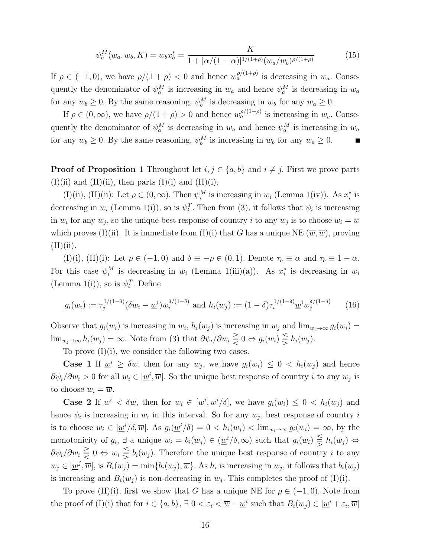$$
\psi_b^M(w_a, w_b, K) = w_b x_b^* = \frac{K}{1 + [\alpha/(1-\alpha)]^{1/(1+\rho)} (w_a/w_b)^{\rho/(1+\rho)}}
$$
(15)

If  $\rho \in (-1,0)$ , we have  $\rho/(1+\rho) < 0$  and hence  $w_a^{\rho/(1+\rho)}$  is decreasing in  $w_a$ . Consequently the denominator of  $\psi_a^M$  is increasing in  $w_a$  and hence  $\psi_a^M$  is decreasing in  $w_a$ for any  $w_b \ge 0$ . By the same reasoning,  $\psi_b^M$  is decreasing in  $w_b$  for any  $w_a \ge 0$ .

If  $\rho \in (0,\infty)$ , we have  $\rho/(1+\rho) > 0$  and hence  $w_a^{\rho/(1+\rho)}$  is increasing in  $w_a$ . Consequently the denominator of  $\psi_a^M$  is decreasing in  $w_a$  and hence  $\psi_a^M$  is increasing in  $w_a$ for any  $w_b \ge 0$ . By the same reasoning,  $\psi_b^M$  is increasing in  $w_b$  for any  $w_a \ge 0$ .

**Proof of Proposition 1** Throughout let  $i, j \in \{a, b\}$  and  $i \neq j$ . First we prove parts  $(I)(ii)$  and  $(II)(ii)$ , then parts  $(I)(i)$  and  $(II)(i)$ .

(I)(ii), (II)(ii): Let  $\rho \in (0, \infty)$ . Then  $\psi_i^M$  is increasing in  $w_i$  (Lemma 1(iv)). As  $x_i^*$  $i^*$  is decreasing in  $w_i$  (Lemma 1(i)), so is  $\psi_i^T$ . Then from (3), it follows that  $\psi_i$  is increasing in  $w_i$  for any  $w_j$ , so the unique best response of country i to any  $w_j$  is to choose  $w_i = \overline{w}$ which proves (I)(ii). It is immediate from (I)(i) that G has a unique NE  $(\overline{w}, \overline{w})$ , proving  $(II)(ii).$ 

(I)(i), (II)(i): Let  $\rho \in (-1,0)$  and  $\delta \equiv -\rho \in (0,1)$ . Denote  $\tau_a \equiv \alpha$  and  $\tau_b \equiv 1-\alpha$ . For this case  $\psi_i^M$  is decreasing in  $w_i$  (Lemma 1(iii)(a)). As  $x_i^*$  $i$  is decreasing in  $w_i$ (Lemma 1(i)), so is  $\psi_i^T$ . Define

$$
g_i(w_i) := \tau_j^{1/(1-\delta)} (\delta w_i - \underline{w}^i) w_i^{\delta/(1-\delta)} \text{ and } h_i(w_j) := (1-\delta) \tau_i^{1/(1-\delta)} \underline{w}^i w_j^{\delta/(1-\delta)} \tag{16}
$$

Observe that  $g_i(w_i)$  is increasing in  $w_i$ ,  $h_i(w_j)$  is increasing in  $w_j$  and  $\lim_{w_i \to \infty} g_i(w_i) =$  $\lim_{w_j\to\infty}h_i(w_j) = \infty.$  Note from (3) that  $\partial\psi_i/\partial w_i \gtrless 0 \Leftrightarrow g_i(w_i) \gtrless h_i(w_j)$ .

To prove  $(I)(i)$ , we consider the following two cases.

**Case 1** If  $w^i \ge \delta \overline{w}$ , then for any  $w_j$ , we have  $g_i(w_i) \le 0 < h_i(w_j)$  and hence  $\partial \psi_i / \partial w_i > 0$  for all  $w_i \in [\underline{w}^i, \overline{w}]$ . So the unique best response of country *i* to any  $w_j$  is to choose  $w_i = \overline{w}$ .

**Case 2** If  $\underline{w}^i < \delta \overline{w}$ , then for  $w_i \in [\underline{w}^i, \underline{w}^i/\delta]$ , we have  $g_i(w_i) \leq 0 < h_i(w_j)$  and hence  $\psi_i$  is increasing in  $w_i$  in this interval. So for any  $w_j$ , best response of country i is to choose  $w_i \in [\underline{w}^i/\delta, \overline{w}]$ . As  $g_i(\underline{w}^i/\delta) = 0 < h_i(w_j) < \lim_{w_i \to \infty} g_i(w_i) = \infty$ , by the monotonicity of  $g_i$ ,  $\exists$  a unique  $w_i = b_i(w_j) \in (\underline{w}^i/\delta, \infty)$  such that  $g_i(w_i) \leq h_i(w_j) \Leftrightarrow$  $\partial \psi_i/\partial w_i \geq 0 \Leftrightarrow w_i \leq b_i(w_j)$ . Therefore the unique best response of country i to any  $w_j \in [\underline{w}^j, \overline{w}]$ , is  $B_i(w_j) = \min\{b_i(w_j), \overline{w}\}\.$  As  $h_i$  is increasing in  $w_j$ , it follows that  $b_i(w_j)$ is increasing and  $B_i(w_j)$  is non-decreasing in  $w_j$ . This completes the proof of (I)(i).

To prove (II)(i), first we show that G has a unique NE for  $\rho \in (-1,0)$ . Note from the proof of (I)(i) that for  $i \in \{a, b\}$ ,  $\exists \ 0 < \varepsilon_i < \overline{w} - \underline{w}^i$  such that  $B_i(w_j) \in [\underline{w}^i + \varepsilon_i, \overline{w}]$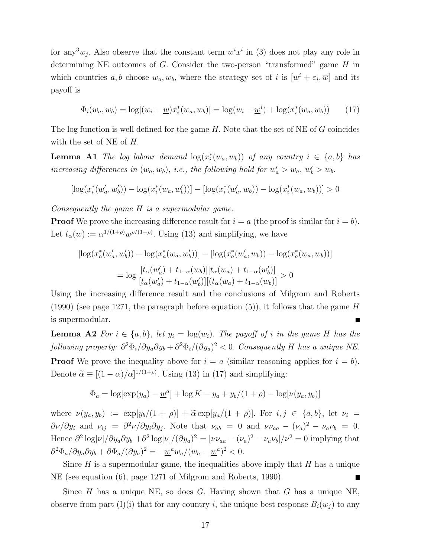for any<sup>3</sup> $w_j$ . Also observe that the constant term  $\underline{w}^i \overline{x}^i$  in (3) does not play any role in determining NE outcomes of  $G$ . Consider the two-person "transformed" game  $H$  in which countries a, b choose  $w_a, w_b$ , where the strategy set of i is  $[\underline{w}^i + \varepsilon_i, \overline{w}]$  and its payoff is

$$
\Phi_i(w_a, w_b) = \log[(w_i - \underline{w})x_i^*(w_a, w_b)] = \log(w_i - \underline{w}^i) + \log(x_i^*(w_a, w_b)) \tag{17}
$$

The log function is well defined for the game  $H$ . Note that the set of NE of G coincides with the set of NE of H.

**Lemma A1** The log labour demand  $\log(x_i^*)$  $i(w_a, w_b))$  of any country  $i \in \{a, b\}$  has increasing differences in  $(w_a, w_b)$ , i.e., the following hold for  $w'_a > w_a$ ,  $w'_b > w_b$ .

$$
[\log(x_i^*(w_a', w_b')) - \log(x_i^*(w_a, w_b'))] - [\log(x_i^*(w_a', w_b)) - \log(x_i^*(w_a, w_b))] > 0
$$

Consequently the game H is a supermodular game.

**Proof** We prove the increasing difference result for  $i = a$  (the proof is similar for  $i = b$ ). Let  $t_{\alpha}(w) := \alpha^{1/(1+\rho)} w^{\rho/(1+\rho)}$ . Using (13) and simplifying, we have

$$
\left[ \log(x_a^*(w_a', w_b')) - \log(x_a^*(w_a, w_b')) \right] - \left[ \log(x_a^*(w_a', w_b)) - \log(x_a^*(w_a, w_b)) \right]
$$

$$
= \log \frac{[t_\alpha(w_a') + t_{1-\alpha}(w_b)][t_\alpha(w_a) + t_{1-\alpha}(w_b')]}{[t_\alpha(w_a') + t_{1-\alpha}(w_b)][(t_\alpha(w_a) + t_{1-\alpha}(w_b))] } > 0
$$

Using the increasing difference result and the conclusions of Milgrom and Roberts (1990) (see page 1271, the paragraph before equation  $(5)$ ), it follows that the game H is supermodular.

**Lemma A2** For  $i \in \{a, b\}$ , let  $y_i = \log(w_i)$ . The payoff of i in the game H has the following property:  $\partial^2 \Phi_i/\partial y_a \partial y_b + \partial^2 \Phi_i/(\partial y_a)^2 < 0$ . Consequently H has a unique NE. **Proof** We prove the inequality above for  $i = a$  (similar reasoning applies for  $i = b$ ). Denote  $\tilde{\alpha} \equiv [(1 - \alpha)/\alpha]^{1/(1 + \rho)}$ . Using (13) in (17) and simplifying:

$$
\Phi_a = \log[\exp(y_a) - \underline{w}^a] + \log K - y_a + y_b/(1 + \rho) - \log[\nu(y_a, y_b)]
$$

where  $\nu(y_a, y_b) := \exp[y_b/(1+\rho)] + \tilde{\alpha} \exp[y_a/(1+\rho)]$ . For  $i, j \in \{a, b\}$ , let  $\nu_i =$  $\partial \nu/\partial y_i$  and  $\nu_{ij} = \partial^2 \nu/\partial y_i \partial y_j$ . Note that  $\nu_{ab} = 0$  and  $\nu \nu_{aa} - (\nu_a)^2 - \nu_a \nu_b = 0$ . Hence  $\partial^2 \log[\nu] / \partial y_a \partial y_b + \partial^2 \log[\nu] / (\partial y_a)^2 = [\nu \nu_{aa} - (\nu_a)^2 - \nu_a \nu_b] / \nu^2 = 0$  implying that  $\frac{\partial^2 \Phi_a}{\partial y_a \partial y_b} + \frac{\partial \Phi_a}{\partial y_a}^2 = -\underline{w}^a w_a/(w_a - \underline{w}^a)^2 < 0.$ 

Since  $H$  is a supermodular game, the inequalities above imply that  $H$  has a unique NE (see equation (6), page 1271 of Milgrom and Roberts, 1990).

Since H has a unique NE, so does G. Having shown that G has a unique NE, observe from part (I)(i) that for any country i, the unique best response  $B_i(w_j)$  to any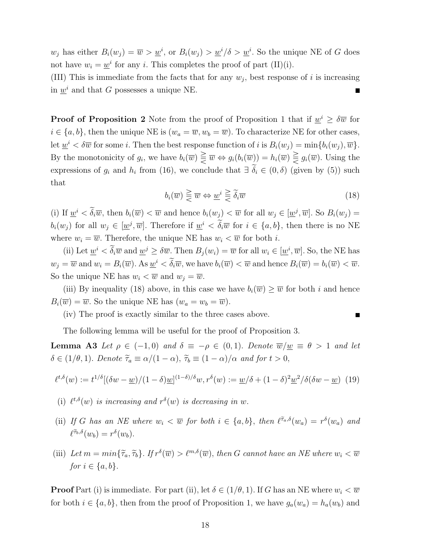$w_j$  has either  $B_i(w_j) = \overline{w} > \underline{w}^i$ , or  $B_i(w_j) > \underline{w}^i/\delta > \underline{w}^i$ . So the unique NE of G does not have  $w_i = \underline{w}^i$  for any *i*. This completes the proof of part (II)(i).

(III) This is immediate from the facts that for any  $w_j$ , best response of i is increasing in  $\underline{w}^i$  and that G possesses a unique NE.

**Proof of Proposition 2** Note from the proof of Proposition 1 that if  $\underline{w}^i \geq \delta \overline{w}$  for  $i \in \{a, b\}$ , then the unique NE is  $(w_a = \overline{w}, w_b = \overline{w})$ . To characterize NE for other cases, let  $\underline{w}^i < \delta \overline{w}$  for some *i*. Then the best response function of *i* is  $B_i(w_j) = \min\{b_i(w_j), \overline{w}\}.$ By the monotonicity of  $g_i$ , we have  $b_i(\overline{w}) \subsetneq \overline{w} \Leftrightarrow g_i(b_i(\overline{w})) = h_i(\overline{w}) \subsetneq g_i(\overline{w})$ . Using the expressions of  $g_i$  and  $h_i$  from (16), we conclude that  $\exists \delta_i \in (0, \delta)$  (given by (5)) such that

$$
b_i(\overline{w}) \geq \overline{w} \Leftrightarrow \underline{w}^i \geq \widetilde{\delta}_i \overline{w}
$$
\n(18)

(i) If  $\underline{w}^i < \delta_i \overline{w}$ , then  $b_i(\overline{w}) < \overline{w}$  and hence  $b_i(w_j) < \overline{w}$  for all  $w_j \in [\underline{w}^j, \overline{w}]$ . So  $B_i(w_j) =$  $b_i(w_j)$  for all  $w_j \in [\underline{w}^j, \overline{w}]$ . Therefore if  $\underline{w}^i < \delta_i \overline{w}$  for  $i \in \{a, b\}$ , then there is no NE where  $w_i = \overline{w}$ . Therefore, the unique NE has  $w_i < \overline{w}$  for both *i*.

(ii) Let  $\underline{w}^i < \delta_i \overline{w}$  and  $\underline{w}^j \ge \delta \overline{w}$ . Then  $B_j(w_i) = \overline{w}$  for all  $w_i \in [\underline{w}^i, \overline{w}]$ . So, the NE has  $w_j = \overline{w}$  and  $w_i = B_i(\overline{w})$ . As  $\underline{w}^i < \delta_i \overline{w}$ , we have  $b_i(\overline{w}) < \overline{w}$  and hence  $B_i(\overline{w}) = b_i(\overline{w}) < \overline{w}$ . So the unique NE has  $w_i < \overline{w}$  and  $w_i = \overline{w}$ .

(iii) By inequality (18) above, in this case we have  $b_i(\overline{w}) \geq \overline{w}$  for both i and hence  $B_i(\overline{w}) = \overline{w}$ . So the unique NE has  $(w_a = w_b = \overline{w})$ .

(iv) The proof is exactly similar to the three cases above.

The following lemma will be useful for the proof of Proposition 3.

**Lemma A3** Let  $\rho \in (-1, 0)$  and  $\delta \equiv -\rho \in (0, 1)$ . Denote  $\overline{w}/\underline{w} \equiv \theta > 1$  and let  $\delta \in (1/\theta, 1)$ . Denote  $\widetilde{\tau}_a \equiv \alpha/(1 - \alpha)$ ,  $\widetilde{\tau}_b \equiv (1 - \alpha)/\alpha$  and for  $t > 0$ ,

$$
\ell^{t,\delta}(w) := t^{1/\delta} [(\delta w - \underline{w})/(1-\delta)\underline{w}]^{(1-\delta)/\delta} w, r^{\delta}(w) := \underline{w}/\delta + (1-\delta)^2 \underline{w}^2/\delta(\delta w - \underline{w}) \tag{19}
$$

- (i)  $\ell^{t,\delta}(w)$  is increasing and  $r^{\delta}(w)$  is decreasing in w.
- (ii) If G has an NE where  $w_i < \overline{w}$  for both  $i \in \{a, b\}$ , then  $\ell^{\tilde{\tau}_a, \delta}(w_a) = r^{\delta}(w_a)$  and  $\ell^{\tilde{\tau}_b,\delta}(w_b) = r^{\delta}(w_b).$
- (iii) Let  $m = min\{\tilde{\tau}_a, \tilde{\tau}_b\}$ . If  $r^{\delta}(\overline{w}) > \ell^{m,\delta}(\overline{w})$ , then G cannot have an NE where  $w_i < \overline{w}$ for  $i \in \{a, b\}$ .

**Proof** Part (i) is immediate. For part (ii), let  $\delta \in (1/\theta, 1)$ . If G has an NE where  $w_i < \overline{w}$ for both  $i \in \{a, b\}$ , then from the proof of Proposition 1, we have  $g_a(w_a) = h_a(w_b)$  and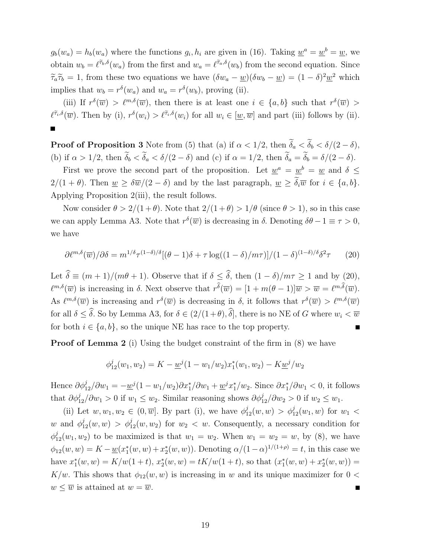$g_b(w_a) = h_b(w_a)$  where the functions  $g_i, h_i$  are given in (16). Taking  $\underline{w}^a = \underline{w}^b = \underline{w}$ , we obtain  $w_b = \ell^{\tilde{\tau}_b,\delta}(w_a)$  from the first and  $w_a = \ell^{\tilde{\tau}_a,\delta}(w_b)$  from the second equation. Since  $\widetilde{\tau}_a \widetilde{\tau}_b = 1$ , from these two equations we have  $(\delta w_a - \underline{w})(\delta w_b - \underline{w}) = (1 - \delta)^2 \underline{w}^2$  which implies that  $w_b = r^{\delta}(w_a)$  and  $w_a = r^{\delta}(w_b)$ , proving (ii).

(iii) If  $r^{\delta}(\overline{w}) > \ell^{m,\delta}(\overline{w})$ , then there is at least one  $i \in \{a,b\}$  such that  $r^{\delta}(\overline{w}) >$  $\ell^{\tilde{\tau}_i,\delta}(\overline{w})$ . Then by (i),  $r^{\delta}(w_i) > \ell^{\tilde{\tau}_i,\delta}(w_i)$  for all  $w_i \in [\underline{w}, \overline{w}]$  and part (iii) follows by (ii).

**Proof of Proposition 3** Note from (5) that (a) if  $\alpha < 1/2$ , then  $\widetilde{\delta}_a < \widetilde{\delta}_b < \delta/(2 - \delta)$ , (b) if  $\alpha > 1/2$ , then  $\widetilde{\delta}_b < \widetilde{\delta}_a < \delta/(2 - \delta)$  and (c) if  $\alpha = 1/2$ , then  $\widetilde{\delta}_a = \widetilde{\delta}_b = \delta/(2 - \delta)$ .

First we prove the second part of the proposition. Let  $\underline{w}^a = \underline{w}^b = \underline{w}$  and  $\delta \leq$  $2/(1 + \theta)$ . Then  $\underline{w} \geq \delta \overline{w}/(2 - \delta)$  and by the last paragraph,  $\underline{w} \geq \widetilde{\delta}_i \overline{w}$  for  $i \in \{a, b\}$ . Applying Proposition 2(iii), the result follows.

Now consider  $\theta > 2/(1+\theta)$ . Note that  $2/(1+\theta) > 1/\theta$  (since  $\theta > 1$ ), so in this case we can apply Lemma A3. Note that  $r^{\delta}(\overline{w})$  is decreasing in  $\delta$ . Denoting  $\delta\theta - 1 \equiv \tau > 0$ , we have

$$
\partial \ell^{m,\delta}(\overline{w})/\partial \delta = m^{1/\delta} \tau^{(1-\delta)/\delta} [(\theta - 1)\delta + \tau \log((1 - \delta)/m\tau)]/(1 - \delta)^{(1-\delta)/\delta} \delta^2 \tau \qquad (20)
$$

Let  $\hat{\delta} \equiv (m+1)/(m\theta + 1)$ . Observe that if  $\delta \leq \hat{\delta}$ , then  $(1 - \delta)/m\tau \geq 1$  and by (20),  $\ell^{m,\delta}(\overline{w})$  is increasing in  $\delta$ . Next observe that  $r^{\widehat{\delta}}(\overline{w}) = [1 + m(\theta - 1)]\overline{w} > \overline{w} = \ell^{m,\widehat{\delta}}(\overline{w})$ . As  $\ell^{m,\delta}(\overline{w})$  is increasing and  $r^{\delta}(\overline{w})$  is decreasing in  $\delta$ , it follows that  $r^{\delta}(\overline{w}) > \ell^{m,\delta}(\overline{w})$ for all  $\delta < \hat{\delta}$ . So by Lemma A3, for  $\delta \in (2/(1+\theta), \hat{\delta})$ , there is no NE of G where  $w_i < \overline{w}$ for both  $i \in \{a, b\}$ , so the unique NE has race to the top property.

**Proof of Lemma 2** (i) Using the budget constraint of the firm in (8) we have

$$
\phi_{12}^j(w_1, w_2) = K - \underline{w}^j (1 - w_1/w_2) x_1^*(w_1, w_2) - K \underline{w}^j/w_2
$$

Hence  $\partial \phi_{12}^j / \partial w_1 = -\underline{w}^j (1 - w_1/w_2) \partial x_1^* / \partial w_1 + \underline{w}^j x_1^*$ <sup>\*</sup><sub>1</sub>/ $w_2$ . Since  $\partial x_1^* / \partial w_1 < 0$ , it follows that  $\partial \phi_{12}^j / \partial w_1 > 0$  if  $w_1 \leq w_2$ . Similar reasoning shows  $\partial \phi_{12}^j / \partial w_2 > 0$  if  $w_2 \leq w_1$ .

(ii) Let  $w, w_1, w_2 \in (0, \overline{w}]$ . By part (i), we have  $\phi_{12}^j(w, w) > \phi_{12}^j(w_1, w)$  for  $w_1$  < w and  $\phi_{12}^j(w, w) > \phi_{12}^j(w, w_2)$  for  $w_2 < w$ . Consequently, a necessary condition for  $\phi_{12}^j(w_1, w_2)$  to be maximized is that  $w_1 = w_2$ . When  $w_1 = w_2 = w$ , by (8), we have  $\phi_{12}(w, w) = K - \underline{w}(x_1^*)$  $x_1^*(w, w) + x_2^*$  $\chi_2^*(w, w)$ ). Denoting  $\alpha/(1-\alpha)^{1/(1+\rho)} = t$ , in this case we have  $x_1^*$  $t_1^*(w, w) = K/w(1+t), x_2^*(w, w) = tK/w(1+t)$ , so that  $(x_1^*)$  $x_1^*(w, w) + x_2^*$  $_{2}^{*}(w,w)) =$ K/w. This shows that  $\phi_{12}(w, w)$  is increasing in w and its unique maximizer for  $0 <$  $w \leq \overline{w}$  is attained at  $w = \overline{w}$ .  $\blacksquare$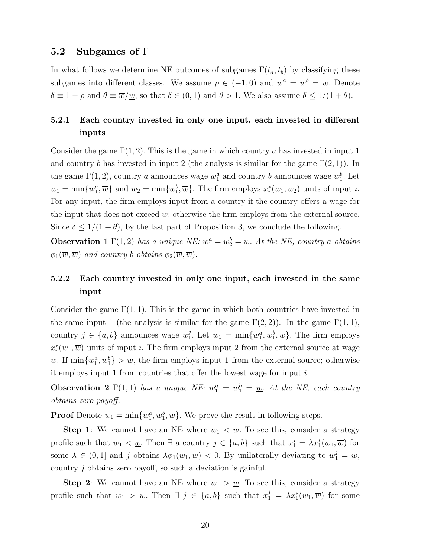### 5.2 Subgames of Γ

In what follows we determine NE outcomes of subgames  $\Gamma(t_a, t_b)$  by classifying these subgames into different classes. We assume  $\rho \in (-1,0)$  and  $\underline{w}^a = \underline{w}^b = \underline{w}$ . Denote  $\delta \equiv 1 - \rho$  and  $\theta \equiv \overline{w}/\underline{w}$ , so that  $\delta \in (0,1)$  and  $\theta > 1$ . We also assume  $\delta \leq 1/(1 + \theta)$ .

## 5.2.1 Each country invested in only one input, each invested in different inputs

Consider the game  $\Gamma(1, 2)$ . This is the game in which country a has invested in input 1 and country b has invested in input 2 (the analysis is similar for the game  $\Gamma(2,1)$ ). In the game  $\Gamma(1, 2)$ , country a announces wage  $w_1^a$  and country b announces wage  $w_1^b$ . Let  $w_1 = \min\{w_1^a, \overline{w}\}\$ and  $w_2 = \min\{w_1^b, \overline{w}\}\$ . The firm employs  $x_i^*$  $i(w_1, w_2)$  units of input *i*. For any input, the firm employs input from a country if the country offers a wage for the input that does not exceed  $\overline{w}$ ; otherwise the firm employs from the external source. Since  $\delta \leq 1/(1+\theta)$ , by the last part of Proposition 3, we conclude the following.

**Observation 1**  $\Gamma(1,2)$  has a unique NE:  $w_1^a = w_2^b = \overline{w}$ . At the NE, country a obtains  $\phi_1(\overline{w},\overline{w})$  and country b obtains  $\phi_2(\overline{w},\overline{w})$ .

## 5.2.2 Each country invested in only one input, each invested in the same input

Consider the game  $\Gamma(1,1)$ . This is the game in which both countries have invested in the same input 1 (the analysis is similar for the game  $\Gamma(2, 2)$ ). In the game  $\Gamma(1, 1)$ , country  $j \in \{a, b\}$  announces wage  $w_1^j$ <sup>j</sup>. Let  $w_1 = \min\{w_1^a, w_1^b, \overline{w}\}\.$  The firm employs  $x_i^*$  $i(w_1,\overline{w})$  units of input i. The firm employs input 2 from the external source at wage  $\overline{w}$ . If  $\min\{w_1^a, w_1^b\} > \overline{w}$ , the firm employs input 1 from the external source; otherwise it employs input 1 from countries that offer the lowest wage for input  $i$ .

**Observation 2**  $\Gamma(1,1)$  has a unique NE:  $w_1^a = w_1^b = \underline{w}$ . At the NE, each country obtains zero payoff.

**Proof** Denote  $w_1 = \min\{w_1^a, w_1^b, \overline{w}\}\.$  We prove the result in following steps.

**Step 1:** We cannot have an NE where  $w_1 < w$ . To see this, consider a strategy profile such that  $w_1 < \underline{w}$ . Then  $\exists$  a country  $j \in \{a, b\}$  such that  $x_1^j = \lambda x_1^*(w_1, \overline{w})$  for some  $\lambda \in (0,1]$  and j obtains  $\lambda \phi_1(w_1,\overline{w}) < 0$ . By unilaterally deviating to  $w_1^j = \underline{w}$ , country j obtains zero payoff, so such a deviation is gainful.

**Step 2:** We cannot have an NE where  $w_1 > w$ . To see this, consider a strategy profile such that  $w_1 > w_1$ . Then  $\exists j \in \{a, b\}$  such that  $x_1^j = \lambda x_1^*(w_1, \overline{w})$  for some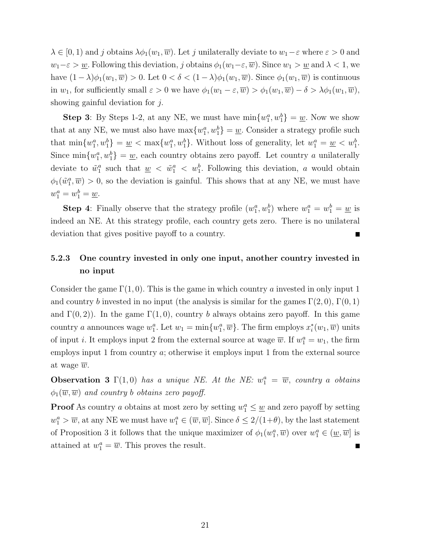$\lambda \in [0, 1)$  and j obtains  $\lambda \phi_1(w_1, \overline{w})$ . Let j unilaterally deviate to  $w_1 - \varepsilon$  where  $\varepsilon > 0$  and  $w_1-\varepsilon > w$ . Following this deviation, j obtains  $\phi_1(w_1-\varepsilon,\overline{w})$ . Since  $w_1 > w$  and  $\lambda < 1$ , we have  $(1 - \lambda)\phi_1(w_1, \overline{w}) > 0$ . Let  $0 < \delta < (1 - \lambda)\phi_1(w_1, \overline{w})$ . Since  $\phi_1(w_1, \overline{w})$  is continuous in  $w_1$ , for sufficiently small  $\varepsilon > 0$  we have  $\phi_1(w_1 - \varepsilon, \overline{w}) > \phi_1(w_1, \overline{w}) - \delta > \lambda \phi_1(w_1, \overline{w})$ , showing gainful deviation for j.

**Step 3**: By Steps 1-2, at any NE, we must have  $\min\{w_1^a, w_1^b\} = \underline{w}$ . Now we show that at any NE, we must also have  $\max\{w_1^a, w_1^b\} = \underline{w}$ . Consider a strategy profile such that  $\min\{w_1^a, w_1^b\} = \underline{w} < \max\{w_1^a, w_1^b\}$ . Without loss of generality, let  $w_1^a = \underline{w} < w_1^b$ . Since  $\min\{w_1^a, w_1^b\} = \underline{w}$ , each country obtains zero payoff. Let country a unilaterally deviate to  $\tilde{w}_1^a$  such that  $\underline{w} < \tilde{w}_1^a < w_1^b$ . Following this deviation, a would obtain  $\phi_1(\tilde{w}_1^a, \overline{w}) > 0$ , so the deviation is gainful. This shows that at any NE, we must have  $w_1^a = w_1^b = \underline{w}.$ 

**Step 4**: Finally observe that the strategy profile  $(w_1^a, w_1^b)$  where  $w_1^a = w_1^b = \underline{w}$  is indeed an NE. At this strategy profile, each country gets zero. There is no unilateral deviation that gives positive payoff to a country.  $\blacksquare$ 

## 5.2.3 One country invested in only one input, another country invested in no input

Consider the game  $\Gamma(1,0)$ . This is the game in which country a invested in only input 1 and country b invested in no input (the analysis is similar for the games  $\Gamma(2,0)$ ,  $\Gamma(0,1)$ ) and  $\Gamma(0, 2)$ ). In the game  $\Gamma(1, 0)$ , country b always obtains zero payoff. In this game country a announces wage  $w_1^a$ . Let  $w_1 = \min\{w_1^a, \overline{w}\}\.$  The firm employs  $x_i^*$  $i(w_1,\overline{w})$  units of input *i*. It employs input 2 from the external source at wage  $\overline{w}$ . If  $w_1^a = w_1$ , the firm employs input 1 from country a; otherwise it employs input 1 from the external source at wage  $\overline{w}$ .

**Observation 3**  $\Gamma(1,0)$  has a unique NE. At the NE:  $w_1^a = \overline{w}$ , country a obtains  $\phi_1(\overline{w},\overline{w})$  and country b obtains zero payoff.

**Proof** As country a obtains at most zero by setting  $w_1^a \leq \underline{w}$  and zero payoff by setting  $w_1^a > \overline{w}$ , at any NE we must have  $w_1^a \in (\overline{w}, \overline{w}]$ . Since  $\delta \leq 2/(1+\theta)$ , by the last statement of Proposition 3 it follows that the unique maximizer of  $\phi_1(w_1^a, \overline{w})$  over  $w_1^a \in (\underline{w}, \overline{w})$  is attained at  $w_1^a = \overline{w}$ . This proves the result.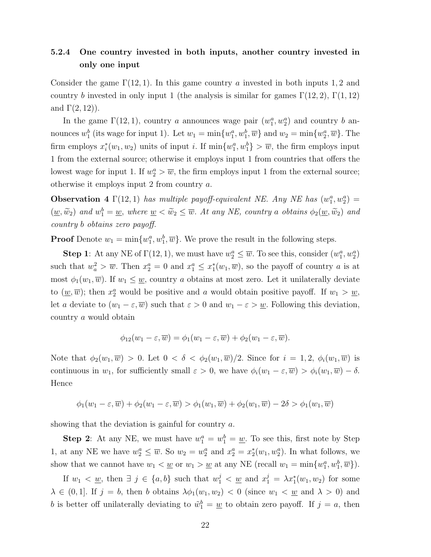## 5.2.4 One country invested in both inputs, another country invested in only one input

Consider the game  $\Gamma(12, 1)$ . In this game country a invested in both inputs 1, 2 and country b invested in only input 1 (the analysis is similar for games  $\Gamma(12, 2)$ ,  $\Gamma(1, 12)$ ) and  $\Gamma(2,12)$ ).

In the game  $\Gamma(12, 1)$ , country a announces wage pair  $(w_1^a, w_2^a)$  and country b announces  $w_1^b$  (its wage for input 1). Let  $w_1 = \min\{w_1^a, w_1^b, \overline{w}\}\$  and  $w_2 = \min\{w_2^a, \overline{w}\}\$ . The firm employs  $x_i^*$  $i<sub>i</sub>(w<sub>1</sub>, w<sub>2</sub>)$  units of input *i*. If  $\min\{w_1^a, w_1^b\} > \overline{w}$ , the firm employs input 1 from the external source; otherwise it employs input 1 from countries that offers the lowest wage for input 1. If  $w_2^a > \overline{w}$ , the firm employs input 1 from the external source; otherwise it employs input 2 from country a.

**Observation 4**  $\Gamma(12, 1)$  has multiple payoff-equivalent NE. Any NE has  $(w_1^a, w_2^a)$  =  $(\underline{w}, \widetilde{w}_2)$  and  $w_1^b = \underline{w}$ , where  $\underline{w} < \widetilde{w}_2 \leq \overline{w}$ . At any NE, country a obtains  $\phi_2(\underline{w}, \widetilde{w}_2)$  and country b obtains zero payoff.

**Proof** Denote  $w_1 = \min\{w_1^a, w_1^b, \overline{w}\}\.$  We prove the result in the following steps.

**Step 1**: At any NE of  $\Gamma(12, 1)$ , we must have  $w_2^a \leq \overline{w}$ . To see this, consider  $(w_1^a, w_2^a)$ such that  $w_a^2 > \overline{w}$ . Then  $x_2^a = 0$  and  $x_1^a \le x_1^*$  $_1^*(w_1,\overline{w})$ , so the payoff of country a is at most  $\phi_1(w_1,\overline{w})$ . If  $w_1 \leq \underline{w}$ , country a obtains at most zero. Let it unilaterally deviate to  $(\underline{w}, \overline{w})$ ; then  $x_2^a$  would be positive and a would obtain positive payoff. If  $w_1 > \underline{w}$ , let a deviate to  $(w_1 - \varepsilon, \overline{w})$  such that  $\varepsilon > 0$  and  $w_1 - \varepsilon > \underline{w}$ . Following this deviation, country a would obtain

$$
\phi_{12}(w_1-\varepsilon,\overline{w})=\phi_1(w_1-\varepsilon,\overline{w})+\phi_2(w_1-\varepsilon,\overline{w}).
$$

Note that  $\phi_2(w_1,\overline{w}) > 0$ . Let  $0 < \delta < \phi_2(w_1,\overline{w})/2$ . Since for  $i = 1, 2, \phi_i(w_1,\overline{w})$  is continuous in  $w_1$ , for sufficiently small  $\varepsilon > 0$ , we have  $\phi_i(w_1 - \varepsilon, \overline{w}) > \phi_i(w_1, \overline{w}) - \delta$ . Hence

$$
\phi_1(w_1-\varepsilon,\overline{w}) + \phi_2(w_1-\varepsilon,\overline{w}) > \phi_1(w_1,\overline{w}) + \phi_2(w_1,\overline{w}) - 2\delta > \phi_1(w_1,\overline{w})
$$

showing that the deviation is gainful for country  $a$ .

**Step 2**: At any NE, we must have  $w_1^a = w_1^b = \underline{w}$ . To see this, first note by Step 1, at any NE we have  $w_2^a \leq \overline{w}$ . So  $w_2 = w_2^a$  and  $x_2^a = x_2^*$  $2(w_1, w_2^a)$ . In what follows, we show that we cannot have  $w_1 < \underline{w}$  or  $w_1 > \underline{w}$  at any NE (recall  $w_1 = \min\{w_1^a, w_1^b, \overline{w}\}\)$ .

If  $w_1 < \underline{w}$ , then  $\exists j \in \{a, b\}$  such that  $w_1^j < \underline{w}$  and  $x_1^j = \lambda x_1^*(w_1, w_2)$  for some  $\lambda \in (0,1]$ . If  $j = b$ , then b obtains  $\lambda \phi_1(w_1, w_2) < 0$  (since  $w_1 < w$  and  $\lambda > 0$ ) and b is better off unilaterally deviating to  $\tilde{w}_1^b = \underline{w}$  to obtain zero payoff. If  $j = a$ , then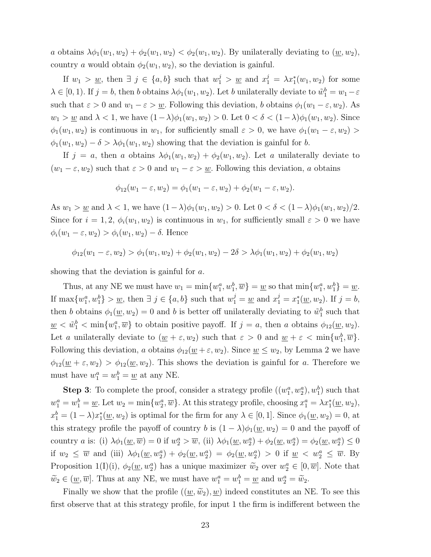a obtains  $\lambda \phi_1(w_1, w_2) + \phi_2(w_1, w_2) < \phi_2(w_1, w_2)$ . By unilaterally deviating to  $(\underline{w}, w_2)$ , country a would obtain  $\phi_2(w_1, w_2)$ , so the deviation is gainful.

If  $w_1 > w$ , then  $\exists j \in \{a, b\}$  such that  $w_1^j > w$  and  $x_1^j = \lambda x_1^*(w_1, w_2)$  for some  $\lambda \in [0, 1)$ . If  $j = b$ , then b obtains  $\lambda \phi_1(w_1, w_2)$ . Let b unilaterally deviate to  $\tilde{w}_1^b = w_1 - \varepsilon$ such that  $\varepsilon > 0$  and  $w_1 - \varepsilon > w$ . Following this deviation, b obtains  $\phi_1(w_1 - \varepsilon, w_2)$ . As  $w_1 > w$  and  $\lambda < 1$ , we have  $(1 - \lambda)\phi_1(w_1, w_2) > 0$ . Let  $0 < \delta < (1 - \lambda)\phi_1(w_1, w_2)$ . Since  $\phi_1(w_1, w_2)$  is continuous in  $w_1$ , for sufficiently small  $\varepsilon > 0$ , we have  $\phi_1(w_1 - \varepsilon, w_2) >$  $\phi_1(w_1, w_2) - \delta > \lambda \phi_1(w_1, w_2)$  showing that the deviation is gainful for b.

If  $j = a$ , then a obtains  $\lambda \phi_1(w_1, w_2) + \phi_2(w_1, w_2)$ . Let a unilaterally deviate to  $(w_1 - \varepsilon, w_2)$  such that  $\varepsilon > 0$  and  $w_1 - \varepsilon > w$ . Following this deviation, a obtains

$$
\phi_{12}(w_1 - \varepsilon, w_2) = \phi_1(w_1 - \varepsilon, w_2) + \phi_2(w_1 - \varepsilon, w_2).
$$

As  $w_1 > w$  and  $\lambda < 1$ , we have  $(1 - \lambda)\phi_1(w_1, w_2) > 0$ . Let  $0 < \delta < (1 - \lambda)\phi_1(w_1, w_2)/2$ . Since for  $i = 1, 2, \phi_i(w_1, w_2)$  is continuous in  $w_1$ , for sufficiently small  $\varepsilon > 0$  we have  $\phi_i(w_1 - \varepsilon, w_2) > \phi_i(w_1, w_2) - \delta$ . Hence

$$
\phi_{12}(w_1 - \varepsilon, w_2) > \phi_1(w_1, w_2) + \phi_2(w_1, w_2) - 2\delta > \lambda \phi_1(w_1, w_2) + \phi_2(w_1, w_2)
$$

showing that the deviation is gainful for a.

Thus, at any NE we must have  $w_1 = \min\{w_1^a, w_1^b, \overline{w}\} = \underline{w}$  so that  $\min\{w_1^a, w_1^b\} = \underline{w}$ . If  $\max\{w_1^a, w_1^b\} > \underline{w}$ , then  $\exists j \in \{a, b\}$  such that  $w_1^j = \underline{w}$  and  $x_1^j = x_1^*$  $j_1^*(\underline{w}, w_2)$ . If  $j = b$ , then b obtains  $\phi_1(\underline{w}, w_2) = 0$  and b is better off unilaterally deviating to  $\tilde{w}_1^b$  such that  $\underline{w} < \tilde{w}_1^b < \min\{w_1^a, \overline{w}\}\$ to obtain positive payoff. If  $j = a$ , then a obtains  $\phi_{12}(\underline{w}, w_2)$ . Let a unilaterally deviate to  $(\underline{w} + \varepsilon, w_2)$  such that  $\varepsilon > 0$  and  $\underline{w} + \varepsilon < \min\{w_1^b, \overline{w}\}.$ Following this deviation, a obtains  $\phi_{12}(\underline{w}+\varepsilon, w_2)$ . Since  $\underline{w} \leq w_2$ , by Lemma 2 we have  $\phi_{12}(\underline{w}+\varepsilon, w_2) > \phi_{12}(\underline{w}, w_2)$ . This shows the deviation is gainful for a. Therefore we must have  $w_1^a = w_1^b = \underline{w}$  at any NE.

**Step 3**: To complete the proof, consider a strategy profile  $((w_1^a, w_2^a), w_1^b)$  such that  $w_1^a = w_1^b = \underline{w}$ . Let  $w_2 = \min\{w_2^a, \overline{w}\}$ . At this strategy profile, choosing  $x_1^a = \lambda x_1^*(\underline{w}, w_2)$ ,  $x_1^b = (1 - \lambda)x_1^*$  $_1^*(\underline{w}, w_2)$  is optimal for the firm for any  $\lambda \in [0, 1]$ . Since  $\phi_1(\underline{w}, w_2) = 0$ , at this strategy profile the payoff of country b is  $(1 - \lambda)\phi_1(\underline{w}, w_2) = 0$  and the payoff of country *a* is: (i)  $\lambda \phi_1(\underline{w}, \overline{w}) = 0$  if  $w_2^a > \overline{w}$ , (ii)  $\lambda \phi_1(\underline{w}, w_2^a) + \phi_2(\underline{w}, w_2^a) = \phi_2(\underline{w}, w_2^a) \leq 0$ if  $w_2 \leq \overline{w}$  and (iii)  $\lambda \phi_1(\underline{w}, w_2^a) + \phi_2(\underline{w}, w_2^a) = \phi_2(\underline{w}, w_2^a) > 0$  if  $\underline{w} < w_2^a \leq \overline{w}$ . By Proposition 1(I)(i),  $\phi_2(\underline{w}, w_2^a)$  has a unique maximizer  $\widetilde{w}_2$  over  $w_2^a \in [0, \overline{w}]$ . Note that  $\widetilde{w}_2 \in (\underline{w}, \overline{w}]$ . Thus at any NE, we must have  $w_1^a = w_1^b = \underline{w}$  and  $w_2^a = \widetilde{w}_2$ .

Finally we show that the profile  $((w,\widetilde{w}_2), w)$  indeed constitutes an NE. To see this first observe that at this strategy profile, for input 1 the firm is indifferent between the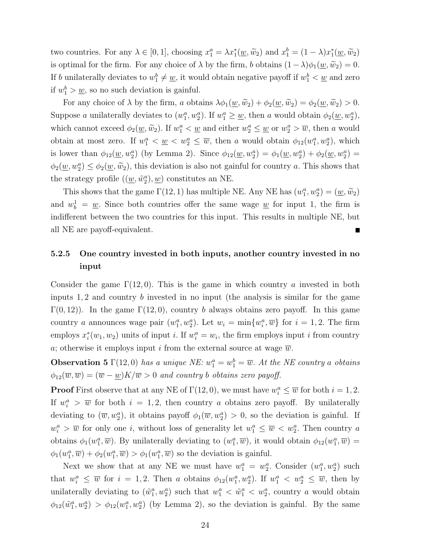two countries. For any  $\lambda \in [0, 1]$ , choosing  $x_1^a = \lambda x_1^*(\underline{w}, \widetilde{w}_2)$  and  $x_1^b = (1 - \lambda)x_1^*$  $j_1^*(\underline{w},\widetilde{w}_2)$ is optimal for the firm. For any choice of  $\lambda$  by the firm, b obtains  $(1-\lambda)\phi_1(\underline{w},\widetilde{w}_2) = 0$ . If b unilaterally deviates to  $w_1^b \neq \underline{w}$ , it would obtain negative payoff if  $w_1^b < \underline{w}$  and zero if  $w_1^b > \underline{w}$ , so no such deviation is gainful.

For any choice of  $\lambda$  by the firm, a obtains  $\lambda \phi_1(\underline{w}, \widetilde{w}_2) + \phi_2(\underline{w}, \widetilde{w}_2) = \phi_2(\underline{w}, \widetilde{w}_2) > 0$ . Suppose a unilaterally deviates to  $(w_1^a, w_2^a)$ . If  $w_1^a \geq \underline{w}$ , then a would obtain  $\phi_2(\underline{w}, w_2^a)$ , which cannot exceed  $\phi_2(\underline{w}, \tilde{w}_2)$ . If  $w_1^a < \underline{w}$  and either  $w_2^a \leq \underline{w}$  or  $w_2^a > \overline{w}$ , then a would obtain at most zero. If  $w_1^a < \underline{w} < w_2^a \leq \overline{w}$ , then a would obtain  $\phi_{12}(w_1^a, w_2^a)$ , which is lower than  $\phi_{12}(\underline{w}, w_2^a)$  (by Lemma 2). Since  $\phi_{12}(\underline{w}, w_2^a) = \phi_1(\underline{w}, w_2^a) + \phi_2(\underline{w}, w_2^a) =$  $\phi_2(\underline{w}, w_2^a) \le \phi_2(\underline{w}, \widetilde{w}_2)$ , this deviation is also not gainful for country a. This shows that the strategy profile  $((\underline{w}, \tilde{w}_2^a), \underline{w})$  constitutes an NE.

This shows that the game  $\Gamma(12, 1)$  has multiple NE. Any NE has  $(w_1^a, w_2^a) = (\underline{w}, \widetilde{w}_2)$ and  $w_b^1 = \underline{w}$ . Since both countries offer the same wage  $\underline{w}$  for input 1, the firm is indifferent between the two countries for this input. This results in multiple NE, but all NE are payoff-equivalent.

## 5.2.5 One country invested in both inputs, another country invested in no input

Consider the game  $\Gamma(12,0)$ . This is the game in which country a invested in both inputs  $1, 2$  and country b invested in no input (the analysis is similar for the game  $\Gamma(0, 12)$ ). In the game  $\Gamma(12, 0)$ , country b always obtains zero payoff. In this game country a announces wage pair  $(w_1^a, w_2^a)$ . Let  $w_i = \min\{w_i^a, \overline{w}\}\$ for  $i = 1, 2$ . The firm employs  $x_i^*$  $i(w_1, w_2)$  units of input *i*. If  $w_i^a = w_i$ , the firm employs input *i* from country a; otherwise it employs input i from the external source at wage  $\overline{w}$ .

**Observation 5**  $\Gamma(12,0)$  has a unique NE:  $w_1^a = w_1^b = \overline{w}$ . At the NE country a obtains  $\phi_{12}(\overline{w},\overline{w}) = (\overline{w} - \underline{w})K/\overline{w} > 0$  and country b obtains zero payoff.

**Proof** First observe that at any NE of  $\Gamma(12, 0)$ , we must have  $w_i^a \leq \overline{w}$  for both  $i = 1, 2$ . If  $w_i^a > \overline{w}$  for both  $i = 1, 2$ , then country a obtains zero payoff. By unilaterally deviating to  $(\overline{w}, w_2^a)$ , it obtains payoff  $\phi_1(\overline{w}, w_2^a) > 0$ , so the deviation is gainful. If  $w_i^a > \overline{w}$  for only one *i*, without loss of generality let  $w_1^a \leq \overline{w} < w_2^a$ . Then country *a* obtains  $\phi_1(w_1^a, \overline{w})$ . By unilaterally deviating to  $(w_1^a, \overline{w})$ , it would obtain  $\phi_{12}(w_1^a, \overline{w}) =$  $\phi_1(w_1^a, \overline{w}) + \phi_2(w_1^a, \overline{w}) > \phi_1(w_1^a, \overline{w})$  so the deviation is gainful.

Next we show that at any NE we must have  $w_1^a = w_2^a$ . Consider  $(w_1^a, w_2^a)$  such that  $w_i^a \leq \overline{w}$  for  $i = 1, 2$ . Then a obtains  $\phi_{12}(w_1^a, w_2^a)$ . If  $w_1^a < w_2^a \leq \overline{w}$ , then by unilaterally deviating to  $(\tilde{w}_1^a, w_2^a)$  such that  $w_1^a < \tilde{w}_1^a < w_2^a$ , country a would obtain  $\phi_{12}(\tilde{w}_1^a, w_2^a) > \phi_{12}(w_1^a, w_2^a)$  (by Lemma 2), so the deviation is gainful. By the same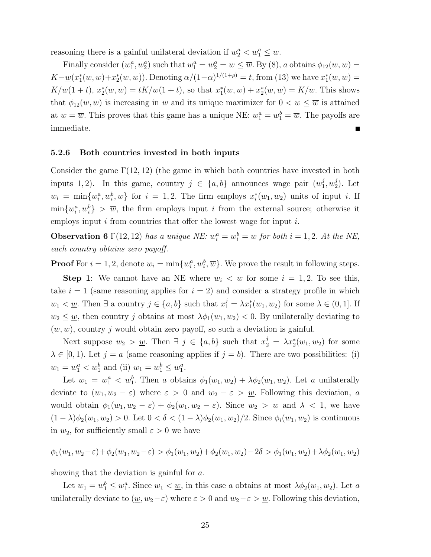reasoning there is a gainful unilateral deviation if  $w_2^a < w_1^a \leq \overline{w}$ .

Finally consider  $(w_1^a, w_2^a)$  such that  $w_1^a = w_2^a = w \leq \overline{w}$ . By (8), a obtains  $\phi_{12}(w, w) =$  $K-\underline{w}(x_1^*)$  $x_1^*(w, w) + x_2^*$  $x_2^*(w, w)$ ). Denoting  $\alpha/(1-\alpha)^{1/(1+\rho)} = t$ , from (13) we have  $x_1^*$  $j_1^*(w, w) =$  $K/w(1+t), x_2^*(w, w) = tK/w(1+t)$ , so that  $x_1^*$  $x_1^*(w, w) + x_2^*$  $\chi_2^*(w, w) = K/w$ . This shows that  $\phi_{12}(w, w)$  is increasing in w and its unique maximizer for  $0 < w \leq \overline{w}$  is attained at  $w = \overline{w}$ . This proves that this game has a unique NE:  $w_1^a = w_1^b = \overline{w}$ . The payoffs are immediate.

#### 5.2.6 Both countries invested in both inputs

Consider the game  $\Gamma(12, 12)$  (the game in which both countries have invested in both inputs 1, 2). In this game, country  $j \in \{a, b\}$  announces wage pair  $(w_1^j)$  $_{1}^{j}, w_{2}^{j}$  $2^j$ ). Let  $w_i = \min\{w_i^a, w_i^b, \overline{w}\}\$ for  $i = 1, 2$ . The firm employs  $x_i^*$  $i(w_1, w_2)$  units of input *i*. If  $\min\{w_i^a, w_i^b\} > \overline{w}$ , the firm employs input i from the external source; otherwise it employs input  $i$  from countries that offer the lowest wage for input  $i$ .

**Observation 6**  $\Gamma(12, 12)$  has a unique NE:  $w_i^a = w_i^b = \underline{w}$  for both  $i = 1, 2$ . At the NE, each country obtains zero payoff.

**Proof** For  $i = 1, 2$ , denote  $w_i = \min\{w_i^a, w_i^b, \overline{w}\}\.$  We prove the result in following steps.

**Step 1:** We cannot have an NE where  $w_i < \underline{w}$  for some  $i = 1, 2$ . To see this, take  $i = 1$  (same reasoning applies for  $i = 2$ ) and consider a strategy profile in which  $w_1 < \underline{w}$ . Then  $\exists$  a country  $j \in \{a, b\}$  such that  $x_1^j = \lambda x_1^*(w_1, w_2)$  for some  $\lambda \in (0, 1]$ . If  $w_2 \leq w$ , then country j obtains at most  $\lambda \phi_1(w_1, w_2) < 0$ . By unilaterally deviating to  $(w, w)$ , country j would obtain zero payoff, so such a deviation is gainful.

Next suppose  $w_2 > w$ . Then  $\exists j \in \{a, b\}$  such that  $x_2^j = \lambda x_2^*(w_1, w_2)$  for some  $\lambda \in [0, 1)$ . Let  $j = a$  (same reasoning applies if  $j = b$ ). There are two possibilities: (i)  $w_1 = w_1^a < w_1^b$  and (ii)  $w_1 = w_1^b \leq w_1^a$ .

Let  $w_1 = w_1^a < w_1^b$ . Then a obtains  $\phi_1(w_1, w_2) + \lambda \phi_2(w_1, w_2)$ . Let a unilaterally deviate to  $(w_1, w_2 - \varepsilon)$  where  $\varepsilon > 0$  and  $w_2 - \varepsilon > w$ . Following this deviation, a would obtain  $\phi_1(w_1, w_2 - \varepsilon) + \phi_2(w_1, w_2 - \varepsilon)$ . Since  $w_2 > w$  and  $\lambda < 1$ , we have  $(1 - \lambda)\phi_2(w_1, w_2) > 0$ . Let  $0 < \delta < (1 - \lambda)\phi_2(w_1, w_2)/2$ . Since  $\phi_i(w_1, w_2)$  is continuous in  $w_2$ , for sufficiently small  $\varepsilon > 0$  we have

$$
\phi_1(w_1, w_2 - \varepsilon) + \phi_2(w_1, w_2 - \varepsilon) > \phi_1(w_1, w_2) + \phi_2(w_1, w_2) - 2\delta > \phi_1(w_1, w_2) + \lambda \phi_2(w_1, w_2)
$$

showing that the deviation is gainful for a.

Let  $w_1 = w_1^b \leq w_1^a$ . Since  $w_1 < \underline{w}$ , in this case a obtains at most  $\lambda \phi_2(w_1, w_2)$ . Let a unilaterally deviate to  $(\underline{w}, w_2-\varepsilon)$  where  $\varepsilon > 0$  and  $w_2-\varepsilon > \underline{w}$ . Following this deviation,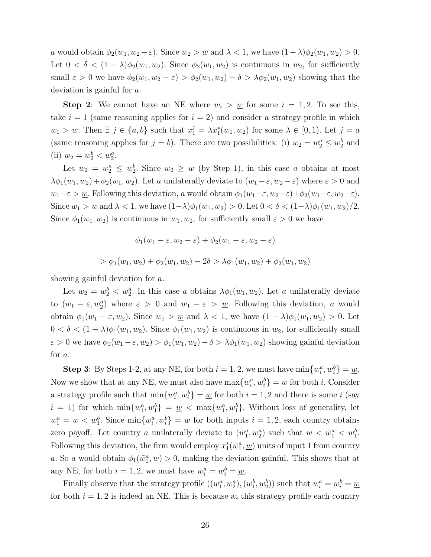a would obtain  $\phi_2(w_1, w_2 - \varepsilon)$ . Since  $w_2 > w$  and  $\lambda < 1$ , we have  $(1 - \lambda)\phi_2(w_1, w_2) > 0$ . Let  $0 < \delta < (1 - \lambda)\phi_2(w_1, w_2)$ . Since  $\phi_2(w_1, w_2)$  is continuous in  $w_2$ , for sufficiently small  $\varepsilon > 0$  we have  $\phi_2(w_1, w_2 - \varepsilon) > \phi_2(w_1, w_2) - \delta > \lambda \phi_2(w_1, w_2)$  showing that the deviation is gainful for a.

**Step 2:** We cannot have an NE where  $w_i > w$  for some  $i = 1, 2$ . To see this, take  $i = 1$  (same reasoning applies for  $i = 2$ ) and consider a strategy profile in which  $w_1 > \underline{w}$ . Then  $\exists j \in \{a, b\}$  such that  $x_1^j = \lambda x_1^*(w_1, w_2)$  for some  $\lambda \in [0, 1)$ . Let  $j = a$ (same reasoning applies for  $j = b$ ). There are two possibilities: (i)  $w_2 = w_2^a \leq w_2^b$  and (ii)  $w_2 = w_2^b < w_2^a$ .

Let  $w_2 = w_2^a \leq w_2^b$ . Since  $w_2 \geq \underline{w}$  (by Step 1), in this case a obtains at most  $\lambda\phi_1(w_1, w_2) + \phi_2(w_1, w_2)$ . Let a unilaterally deviate to  $(w_1 - \varepsilon, w_2 - \varepsilon)$  where  $\varepsilon > 0$  and  $w_1-\varepsilon > \underline{w}$ . Following this deviation, a would obtain  $\phi_1(w_1-\varepsilon, w_2-\varepsilon)+\phi_2(w_1-\varepsilon, w_2-\varepsilon)$ . Since  $w_1 > w$  and  $\lambda < 1$ , we have  $(1-\lambda)\phi_1(w_1, w_2) > 0$ . Let  $0 < \delta < (1-\lambda)\phi_1(w_1, w_2)/2$ . Since  $\phi_1(w_1, w_2)$  is continuous in  $w_1, w_2$ , for sufficiently small  $\varepsilon > 0$  we have

$$
\phi_1(w_1 - \varepsilon, w_2 - \varepsilon) + \phi_2(w_1 - \varepsilon, w_2 - \varepsilon)
$$
  
> 
$$
\phi_1(w_1, w_2) + \phi_2(w_1, w_2) - 2\delta > \lambda \phi_1(w_1, w_2) + \phi_2(w_1, w_2)
$$

showing gainful deviation for a.

Let  $w_2 = w_2^b < w_2^a$ . In this case a obtains  $\lambda \phi_1(w_1, w_2)$ . Let a unilaterally deviate to  $(w_1 - \varepsilon, w_2^a)$  where  $\varepsilon > 0$  and  $w_1 - \varepsilon > w_1$ . Following this deviation, a would obtain  $\phi_1(w_1 - \varepsilon, w_2)$ . Since  $w_1 > w$  and  $\lambda < 1$ , we have  $(1 - \lambda)\phi_1(w_1, w_2) > 0$ . Let  $0 < \delta < (1 - \lambda)\phi_1(w_1, w_2)$ . Since  $\phi_1(w_1, w_2)$  is continuous in  $w_2$ , for sufficiently small  $\varepsilon > 0$  we have  $\phi_1(w_1 - \varepsilon, w_2) > \phi_1(w_1, w_2) - \delta > \lambda \phi_1(w_1, w_2)$  showing gainful deviation for a.

**Step 3**: By Steps 1-2, at any NE, for both  $i = 1, 2$ , we must have  $\min\{w_i^a, w_i^b\} = \underline{w}$ . Now we show that at any NE, we must also have  $\max\{w_i^a, w_i^b\} = \underline{w}$  for both *i*. Consider a strategy profile such that  $\min\{w_i^a, w_i^b\} = \underline{w}$  for both  $i = 1, 2$  and there is some i (say  $i = 1$ ) for which  $\min\{w_1^a, w_1^b\} = \underline{w} < \max\{w_1^a, w_1^b\}$ . Without loss of generality, let  $w_1^a = \underline{w} < w_1^b$ . Since  $\min\{w_i^a, w_i^b\} = \underline{w}$  for both inputs  $i = 1, 2$ , each country obtains zero payoff. Let country a unilaterally deviate to  $(\tilde{w}_1^a, w_2^a)$  such that  $\underline{w} < \tilde{w}_1^a < w_1^b$ . Following this deviation, the firm would employ  $x_1^*$  $j_1^*(\tilde{w}_1^a, \underline{w})$  units of input 1 from country a. So a would obtain  $\phi_1(\tilde{w}_1^a, \underline{w}) > 0$ , making the deviation gainful. This shows that at any NE, for both  $i = 1, 2$ , we must have  $w_i^a = w_i^b = \underline{w}$ .

Finally observe that the strategy profile  $((w_1^a, w_2^a), (w_1^b, w_2^b))$  such that  $w_i^a = w_i^b = \underline{w}_i$ for both  $i = 1, 2$  is indeed an NE. This is because at this strategy profile each country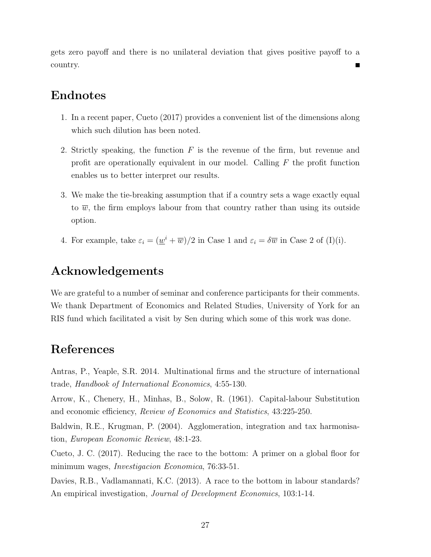gets zero payoff and there is no unilateral deviation that gives positive payoff to a country.

# Endnotes

- 1. In a recent paper, Cueto (2017) provides a convenient list of the dimensions along which such dilution has been noted.
- 2. Strictly speaking, the function  $F$  is the revenue of the firm, but revenue and profit are operationally equivalent in our model. Calling F the profit function enables us to better interpret our results.
- 3. We make the tie-breaking assumption that if a country sets a wage exactly equal to  $\overline{w}$ , the firm employs labour from that country rather than using its outside option.
- 4. For example, take  $\varepsilon_i = (\underline{w}^i + \overline{w})/2$  in Case 1 and  $\varepsilon_i = \delta \overline{w}$  in Case 2 of (I)(i).

# Acknowledgements

We are grateful to a number of seminar and conference participants for their comments. We thank Department of Economics and Related Studies, University of York for an RIS fund which facilitated a visit by Sen during which some of this work was done.

# References

Antras, P., Yeaple, S.R. 2014. Multinational firms and the structure of international trade, Handbook of International Economics, 4:55-130.

Arrow, K., Chenery, H., Minhas, B., Solow, R. (1961). Capital-labour Substitution and economic efficiency, Review of Economics and Statistics, 43:225-250.

Baldwin, R.E., Krugman, P. (2004). Agglomeration, integration and tax harmonisation, European Economic Review, 48:1-23.

Cueto, J. C. (2017). Reducing the race to the bottom: A primer on a global floor for minimum wages, Investigacion Economica, 76:33-51.

Davies, R.B., Vadlamannati, K.C. (2013). A race to the bottom in labour standards? An empirical investigation, Journal of Development Economics, 103:1-14.